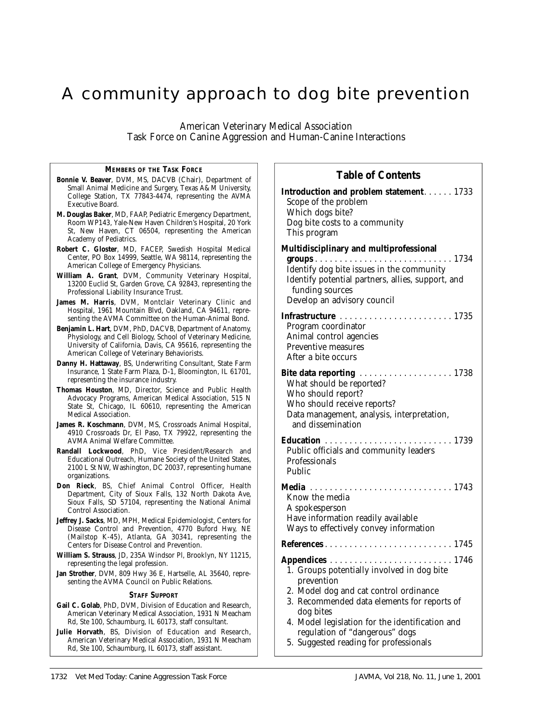# A community approach to dog bite prevention

American Veterinary Medical Association Task Force on Canine Aggression and Human-Canine Interactions

#### **MEMBERS OF THE TASK FORCE**

| Bonnie V. Beaver, DVM, MS, DACVB (Chair), Department of<br>Small Animal Medicine and Surgery, Texas A&M University,                                                                                                                                                                                                                                                                                                                                                                    | <b>Table of Contents</b>                                                                                                                                                                                                          |
|----------------------------------------------------------------------------------------------------------------------------------------------------------------------------------------------------------------------------------------------------------------------------------------------------------------------------------------------------------------------------------------------------------------------------------------------------------------------------------------|-----------------------------------------------------------------------------------------------------------------------------------------------------------------------------------------------------------------------------------|
| College Station, TX 77843-4474, representing the AVMA<br><b>Executive Board.</b>                                                                                                                                                                                                                                                                                                                                                                                                       | <b>Introduction and problem statement 1733</b><br>Scope of the problem                                                                                                                                                            |
| M. Douglas Baker, MD, FAAP, Pediatric Emergency Department,<br>Room WP143, Yale-New Haven Children's Hospital, 20 York<br>St, New Haven, CT 06504, representing the American                                                                                                                                                                                                                                                                                                           | Which dogs bite?<br>Dog bite costs to a community<br>This program                                                                                                                                                                 |
| <b>Academy of Pediatrics.</b><br>Robert C. Gloster, MD, FACEP, Swedish Hospital Medical<br>Center, PO Box 14999, Seattle, WA 98114, representing the<br>American College of Emergency Physicians.<br>William A. Grant, DVM, Community Veterinary Hospital,<br>13200 Euclid St, Garden Grove, CA 92843, representing the<br>Professional Liability Insurance Trust.<br>James M. Harris, DVM, Montclair Veterinary Clinic and<br>Hospital, 1961 Mountain Blvd, Oakland, CA 94611, repre- | <b>Multidisciplinary and multiprofessional</b><br>groups1734<br>Identify dog bite issues in the community<br>Identify potential partners, allies, support, and<br>funding sources<br>Develop an advisory council                  |
| senting the AVMA Committee on the Human-Animal Bond.<br>Benjamin L. Hart, DVM, PhD, DACVB, Department of Anatomy,<br>Physiology, and Cell Biology, School of Veterinary Medicine,<br>University of California, Davis, CA 95616, representing the<br>American College of Veterinary Behaviorists.<br><b>Danny H. Hattaway, BS, Underwriting Consultant, State Farm</b>                                                                                                                  | Program coordinator<br>Animal control agencies<br><b>Preventive measures</b><br>After a bite occurs                                                                                                                               |
| Insurance, 1 State Farm Plaza, D-1, Bloomington, IL 61701,<br>representing the insurance industry.<br><b>Thomas Houston, MD, Director, Science and Public Health</b><br>Advocacy Programs, American Medical Association, 515 N<br>State St, Chicago, IL 60610, representing the American<br><b>Medical Association.</b><br><b>James R. Koschmann</b> , DVM, MS, Crossroads Animal Hospital,                                                                                            | Bite data reporting  1738<br>What should be reported?<br>Who should report?<br>Who should receive reports?<br>Data management, analysis, interpretation,<br>and dissemination                                                     |
| 4910 Crossroads Dr, El Paso, TX 79922, representing the<br><b>AVMA Animal Welfare Committee.</b><br>Randall Lockwood, PhD, Vice President/Research and<br>Educational Outreach, Humane Society of the United States,<br>2100 L St NW, Washington, DC 20037, representing humane<br>organizations.                                                                                                                                                                                      | $\ldots \ldots 1739$<br>Education<br>Public officials and community leaders<br>Professionals<br>Public                                                                                                                            |
| <b>Don Rieck</b> , BS, Chief Animal Control Officer, Health<br>Department, City of Sioux Falls, 132 North Dakota Ave,<br>Sioux Falls, SD 57104, representing the National Animal<br><b>Control Association.</b><br><b>Jeffrey J. Sacks</b> , MD, MPH, Medical Epidemiologist, Centers for<br>Disease Control and Prevention, 4770 Buford Hwy, NE<br>(Mailstop K-45), Atlanta, GA 30341, representing the                                                                               | <b>Media</b> 1743<br>Know the media<br>A spokesperson<br>Have information readily available<br>Ways to effectively convey information                                                                                             |
| <b>Centers for Disease Control and Prevention.</b><br>William S. Strauss, JD, 235A Windsor Pl, Brooklyn, NY 11215,<br>representing the legal profession.<br><b>Jan Strother</b> , DVM, 809 Hwy 36 E, Hartselle, AL 35640, repre-<br>senting the AVMA Council on Public Relations.                                                                                                                                                                                                      | 1. Groups potentially involved in dog bite<br>prevention                                                                                                                                                                          |
| <b>STAFF SUPPORT</b><br>Gail C. Golab, PhD, DVM, Division of Education and Research,<br>American Veterinary Medical Association, 1931 N Meacham<br>Rd, Ste 100, Schaumburg, IL 60173, staff consultant.<br>Julie Horvath, BS, Division of Education and Research,<br>American Veterinary Medical Association, 1931 N Meacham<br>Rd, Ste 100, Schaumburg, IL 60173, staff assistant.                                                                                                    | 2. Model dog and cat control ordinance<br>3. Recommended data elements for reports of<br>dog bites<br>4. Model legislation for the identification and<br>regulation of "dangerous" dogs<br>5. Suggested reading for professionals |

## **Table of Contents**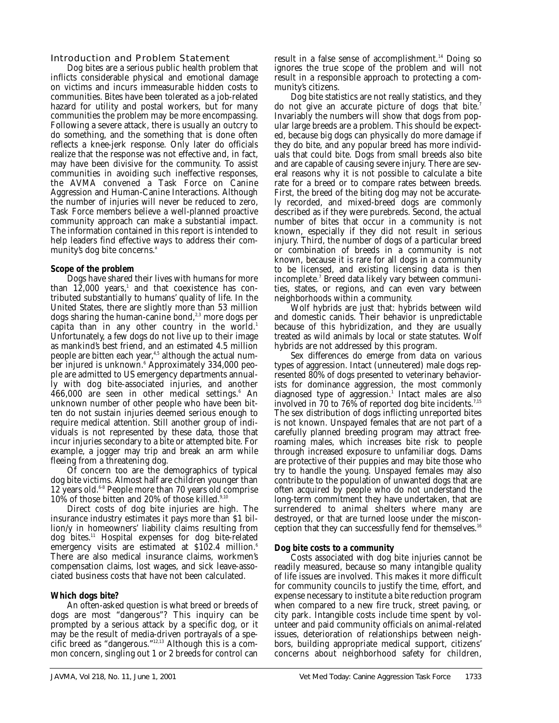## Introduction and Problem Statement

Dog bites are a serious public health problem that inflicts considerable physical and emotional damage on victims and incurs immeasurable hidden costs to communities. Bites have been tolerated as a job-related hazard for utility and postal workers, but for many communities the problem may be more encompassing. Following a severe attack, there is usually an outcry to do something, and the something that is done often reflects a knee-jerk response. Only later do officials realize that the response was not effective and, in fact, may have been divisive for the community. To assist communities in avoiding such ineffective responses, the AVMA convened a Task Force on Canine Aggression and Human-Canine Interactions. Although the number of injuries will never be reduced to zero, Task Force members believe a well-planned proactive community approach can make a substantial impact. The information contained in this report is intended to help leaders find effective ways to address their community's dog bite concerns.<sup>a</sup>

### **Scope of the problem**

Dogs have shared their lives with humans for more than  $12,000$  years, $^1$  and that coexistence has contributed substantially to humans' quality of life. In the United States, there are slightly more than 53 million dogs sharing the human-canine bond,<sup>2,3</sup> more dogs per capita than in any other country in the world.<sup>1</sup> Unfortunately, a few dogs do not live up to their image as mankind's best friend, and an estimated 4.5 million people are bitten each year,<sup>4,5</sup> although the actual number injured is unknown.<sup>6</sup> Approximately 334,000 people are admitted to US emergency departments annually with dog bite-associated injuries, and another 466,000 are seen in other medical settings.<sup>6</sup> An unknown number of other people who have been bitten do not sustain injuries deemed serious enough to require medical attention. Still another group of individuals is not represented by these data, those that incur injuries secondary to a bite or attempted bite. For example, a jogger may trip and break an arm while fleeing from a threatening dog.

Of concern too are the demographics of typical dog bite victims. Almost half are children younger than 12 years old.6-8 People more than 70 years old comprise  $10\%$  of those bitten and 20% of those killed.<sup>9,10</sup>

Direct costs of dog bite injuries are high. The insurance industry estimates it pays more than \$1 billion/y in homeowners' liability claims resulting from dog bites.<sup>11</sup> Hospital expenses for dog bite-related emergency visits are estimated at \$102.4 million.<sup>6</sup> There are also medical insurance claims, workmen's compensation claims, lost wages, and sick leave-associated business costs that have not been calculated.

## **Which dogs bite?**

An often-asked question is what breed or breeds of dogs are most "dangerous"? This inquiry can be prompted by a serious attack by a specific dog, or it may be the result of media-driven portrayals of a specific breed as "dangerous."12,13 Although this is a common concern, singling out 1 or 2 breeds for control can

result in a false sense of accomplishment.<sup>14</sup> Doing so ignores the true scope of the problem and will not result in a responsible approach to protecting a community's citizens.

Dog bite statistics are not really statistics, and they do not give an accurate picture of dogs that bite.7 Invariably the numbers will show that dogs from popular large breeds are a problem. This should be expected, because big dogs can physically do more damage if they do bite, and any popular breed has more individuals that could bite. Dogs from small breeds also bite and are capable of causing severe injury. There are several reasons why it is not possible to calculate a bite rate for a breed or to compare rates between breeds. First, the breed of the biting dog may not be accurately recorded, and mixed-breed dogs are commonly described as if they were purebreds. Second, the actual number of bites that occur in a community is not known, especially if they did not result in serious injury. Third, the number of dogs of a particular breed or combination of breeds in a community is not known, because it is rare for all dogs in a community to be licensed, and existing licensing data is then incomplete.<sup>7</sup> Breed data likely vary between communities, states, or regions, and can even vary between neighborhoods within a community.

Wolf hybrids are just that: hybrids between wild and domestic canids. Their behavior is unpredictable because of this hybridization, and they are usually treated as wild animals by local or state statutes. Wolf hybrids are not addressed by this program.

Sex differences do emerge from data on various types of aggression. Intact (unneutered) male dogs represented 80% of dogs presented to veterinary behaviorists for dominance aggression, the most commonly diagnosed type of aggression.<sup>1</sup> Intact males are also involved in 70 to 76% of reported dog bite incidents.<sup>7,15</sup> The sex distribution of dogs inflicting unreported bites is not known. Unspayed females that are not part of a carefully planned breeding program may attract freeroaming males, which increases bite risk to people through increased exposure to unfamiliar dogs. Dams are protective of their puppies and may bite those who try to handle the young. Unspayed females may also contribute to the population of unwanted dogs that are often acquired by people who do not understand the long-term commitment they have undertaken, that are surrendered to animal shelters where many are destroyed, or that are turned loose under the misconception that they can successfully fend for themselves.<sup>16</sup>

### **Dog bite costs to a community**

Costs associated with dog bite injuries cannot be readily measured, because so many intangible quality of life issues are involved. This makes it more difficult for community councils to justify the time, effort, and expense necessary to institute a bite reduction program when compared to a new fire truck, street paving, or city park. Intangible costs include time spent by volunteer and paid community officials on animal-related issues, deterioration of relationships between neighbors, building appropriate medical support, citizens' concerns about neighborhood safety for children,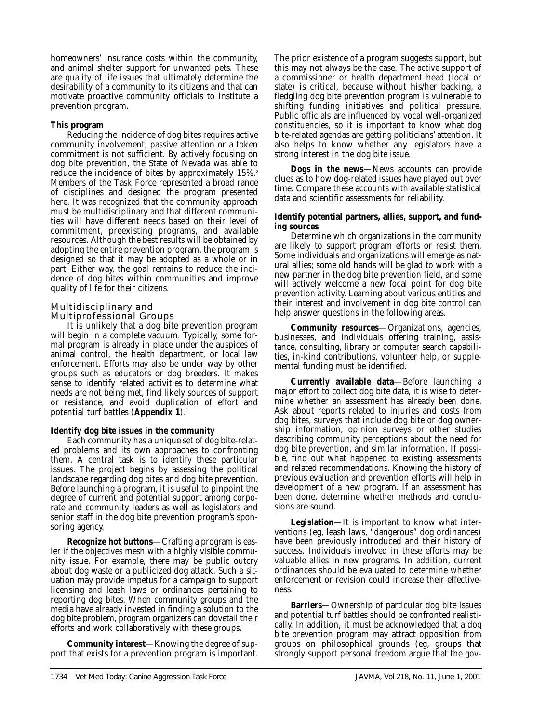homeowners' insurance costs within the community, and animal shelter support for unwanted pets. These are quality of life issues that ultimately determine the desirability of a community to its citizens and that can motivate proactive community officials to institute a prevention program.

## **This program**

Reducing the incidence of dog bites requires active community involvement; passive attention or a token commitment is not sufficient. By actively focusing on dog bite prevention, the State of Nevada was able to reduce the incidence of bites by approximately  $15\%$ . Members of the Task Force represented a broad range of disciplines and designed the program presented here. It was recognized that the community approach must be multidisciplinary and that different communities will have different needs based on their level of commitment, preexisting programs, and available resources. Although the best results will be obtained by adopting the entire prevention program, the program is designed so that it may be adopted as a whole or in part. Either way, the goal remains to reduce the incidence of dog bites within communities and improve quality of life for their citizens.

## Multidisciplinary and Multiprofessional Groups

It is unlikely that a dog bite prevention program will begin in a complete vacuum. Typically, some formal program is already in place under the auspices of animal control, the health department, or local law enforcement. Efforts may also be under way by other groups such as educators or dog breeders. It makes sense to identify related activities to determine what needs are not being met, find likely sources of support or resistance, and avoid duplication of effort and potential turf battles (**Appendix 1**).<sup>c</sup>

### **Identify dog bite issues in the community**

Each community has a unique set of dog bite-related problems and its own approaches to confronting them. A central task is to identify these particular issues. The project begins by assessing the political landscape regarding dog bites and dog bite prevention. Before launching a program, it is useful to pinpoint the degree of current and potential support among corporate and community leaders as well as legislators and senior staff in the dog bite prevention program's sponsoring agency.

**Recognize hot buttons**—Crafting a program is easier if the objectives mesh with a highly visible community issue. For example, there may be public outcry about dog waste or a publicized dog attack. Such a situation may provide impetus for a campaign to support licensing and leash laws or ordinances pertaining to reporting dog bites. When community groups and the media have already invested in finding a solution to the dog bite problem, program organizers can dovetail their efforts and work collaboratively with these groups.

**Community interest**—Knowing the degree of support that exists for a prevention program is important. The prior existence of a program suggests support, but this may not always be the case. The active support of a commissioner or health department head (local or state) is critical, because without his/her backing, a fledgling dog bite prevention program is vulnerable to shifting funding initiatives and political pressure. Public officials are influenced by vocal well-organized constituencies, so it is important to know what dog bite-related agendas are getting politicians' attention. It also helps to know whether any legislators have a strong interest in the dog bite issue.

**Dogs in the news**—News accounts can provide clues as to how dog-related issues have played out over time. Compare these accounts with available statistical data and scientific assessments for reliability.

## **Identify potential partners, allies, support, and funding sources**

Determine which organizations in the community are likely to support program efforts or resist them. Some individuals and organizations will emerge as natural allies; some old hands will be glad to work with a new partner in the dog bite prevention field, and some will actively welcome a new focal point for dog bite prevention activity. Learning about various entities and their interest and involvement in dog bite control can help answer questions in the following areas.

**Community resources**—Organizations, agencies, businesses, and individuals offering training, assistance, consulting, library or computer search capabilities, in-kind contributions, volunteer help, or supplemental funding must be identified.

**Currently available data**—Before launching a major effort to collect dog bite data, it is wise to determine whether an assessment has already been done. Ask about reports related to injuries and costs from dog bites, surveys that include dog bite or dog ownership information, opinion surveys or other studies describing community perceptions about the need for dog bite prevention, and similar information. If possible, find out what happened to existing assessments and related recommendations. Knowing the history of previous evaluation and prevention efforts will help in development of a new program. If an assessment has been done, determine whether methods and conclusions are sound.

**Legislation**—It is important to know what interventions (eg, leash laws, "dangerous" dog ordinances) have been previously introduced and their history of success. Individuals involved in these efforts may be valuable allies in new programs. In addition, current ordinances should be evaluated to determine whether enforcement or revision could increase their effectiveness.

**Barriers**—Ownership of particular dog bite issues and potential turf battles should be confronted realistically. In addition, it must be acknowledged that a dog bite prevention program may attract opposition from groups on philosophical grounds (eg, groups that strongly support personal freedom argue that the gov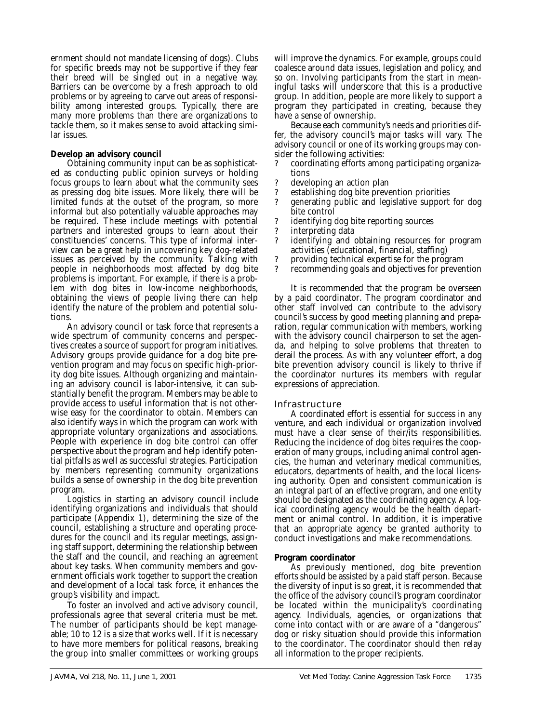ernment should not mandate licensing of dogs). Clubs for specific breeds may not be supportive if they fear their breed will be singled out in a negative way. Barriers can be overcome by a fresh approach to old problems or by agreeing to carve out areas of responsibility among interested groups. Typically, there are many more problems than there are organizations to tackle them, so it makes sense to avoid attacking similar issues.

#### **Develop an advisory council**

Obtaining community input can be as sophisticated as conducting public opinion surveys or holding focus groups to learn about what the community sees as pressing dog bite issues. More likely, there will be limited funds at the outset of the program, so more informal but also potentially valuable approaches may be required. These include meetings with potential partners and interested groups to learn about their constituencies' concerns. This type of informal interview can be a great help in uncovering key dog-related issues as perceived by the community. Talking with people in neighborhoods most affected by dog bite problems is important. For example, if there is a problem with dog bites in low-income neighborhoods, obtaining the views of people living there can help identify the nature of the problem and potential solutions.

An advisory council or task force that represents a wide spectrum of community concerns and perspectives creates a source of support for program initiatives. Advisory groups provide guidance for a dog bite prevention program and may focus on specific high-priority dog bite issues. Although organizing and maintaining an advisory council is labor-intensive, it can substantially benefit the program. Members may be able to provide access to useful information that is not otherwise easy for the coordinator to obtain. Members can also identify ways in which the program can work with appropriate voluntary organizations and associations. People with experience in dog bite control can offer perspective about the program and help identify potential pitfalls as well as successful strategies. Participation by members representing community organizations builds a sense of ownership in the dog bite prevention program.

Logistics in starting an advisory council include identifying organizations and individuals that should participate (Appendix 1), determining the size of the council, establishing a structure and operating procedures for the council and its regular meetings, assigning staff support, determining the relationship between the staff and the council, and reaching an agreement about key tasks. When community members and government officials work together to support the creation and development of a local task force, it enhances the group's visibility and impact.

To foster an involved and active advisory council, professionals agree that several criteria must be met. The number of participants should be kept manageable; 10 to 12 is a size that works well. If it is necessary to have more members for political reasons, breaking the group into smaller committees or working groups will improve the dynamics. For example, groups could coalesce around data issues, legislation and policy, and so on. Involving participants from the start in meaningful tasks will underscore that this is a productive group. In addition, people are more likely to support a program they participated in creating, because they have a sense of ownership.

Because each community's needs and priorities differ, the advisory council's major tasks will vary. The advisory council or one of its working groups may consider the following activities:

- ? coordinating efforts among participating organizations
- ? developing an action plan
- ? establishing dog bite prevention priorities<br>? generating public and legislative support
- generating public and legislative support for dog bite control
- ? identifying dog bite reporting sources<br>? interpreting data
- interpreting data
- ? identifying and obtaining resources for program activities (educational, financial, staffing)
- ? providing technical expertise for the program
- ? recommending goals and objectives for prevention

It is recommended that the program be overseen by a paid coordinator. The program coordinator and other staff involved can contribute to the advisory council's success by good meeting planning and preparation, regular communication with members, working with the advisory council chairperson to set the agenda, and helping to solve problems that threaten to derail the process. As with any volunteer effort, a dog bite prevention advisory council is likely to thrive if the coordinator nurtures its members with regular expressions of appreciation.

#### Infrastructure

A coordinated effort is essential for success in any venture, and each individual or organization involved must have a clear sense of their/its responsibilities. Reducing the incidence of dog bites requires the cooperation of many groups, including animal control agencies, the human and veterinary medical communities, educators, departments of health, and the local licensing authority. Open and consistent communication is an integral part of an effective program, and one entity should be designated as the coordinating agency. A logical coordinating agency would be the health department or animal control. In addition, it is imperative that an appropriate agency be granted authority to conduct investigations and make recommendations.

#### **Program coordinator**

As previously mentioned, dog bite prevention efforts should be assisted by a paid staff person. Because the diversity of input is so great, it is recommended that the office of the advisory council's program coordinator be located within the municipality's coordinating agency. Individuals, agencies, or organizations that come into contact with or are aware of a "dangerous" dog or risky situation should provide this information to the coordinator. The coordinator should then relay all information to the proper recipients.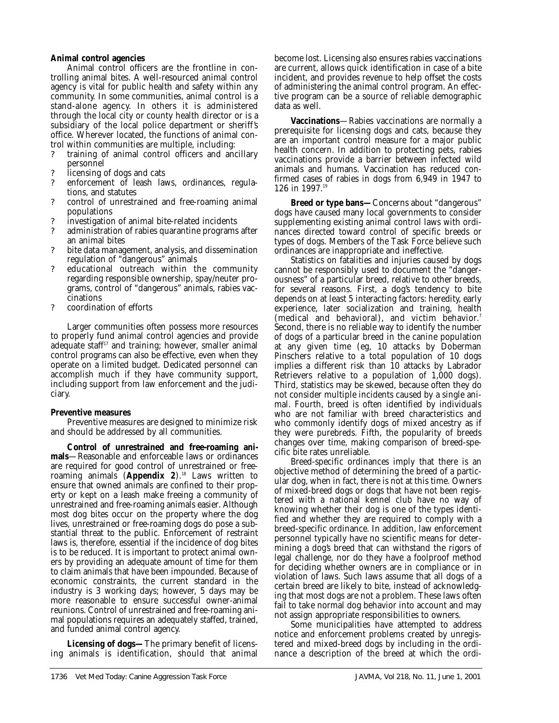## **Animal control agencies**

Animal control officers are the frontline in controlling animal bites. A well-resourced animal control agency is vital for public health and safety within any community. In some communities, animal control is a stand-alone agency. In others it is administered through the local city or county health director or is a subsidiary of the local police department or sheriff's office. Wherever located, the functions of animal control within communities are multiple, including:

- ? training of animal control officers and ancillary personnel
- ? licensing of dogs and cats
- ? enforcement of leash laws, ordinances, regulations, and statutes
- ? control of unrestrained and free-roaming animal populations
- investigation of animal bite-related incidents
- ? administration of rabies quarantine programs after an animal bites
- ? bite data management, analysis, and dissemination regulation of "dangerous" animals
- educational outreach within the community regarding responsible ownership, spay/neuter programs, control of "dangerous" animals, rabies vaccinations
- ? coordination of efforts

Larger communities often possess more resources to properly fund animal control agencies and provide adequate staff<sup>17</sup> and training; however, smaller animal control programs can also be effective, even when they operate on a limited budget. Dedicated personnel can accomplish much if they have community support, including support from law enforcement and the judiciary.

### **Preventive measures**

Preventive measures are designed to minimize risk and should be addressed by all communities.

**Control of unrestrained and free-roaming animals**—Reasonable and enforceable laws or ordinances are required for good control of unrestrained or freeroaming animals (Appendix 2).<sup>18</sup> Laws written to ensure that owned animals are confined to their property or kept on a leash make freeing a community of unrestrained and free-roaming animals easier. Although most dog bites occur on the property where the dog lives, unrestrained or free-roaming dogs do pose a substantial threat to the public. Enforcement of restraint laws is, therefore, essential if the incidence of dog bites is to be reduced. It is important to protect animal owners by providing an adequate amount of time for them to claim animals that have been impounded. Because of economic constraints, the current standard in the industry is 3 working days; however, 5 days may be more reasonable to ensure successful owner-animal reunions. Control of unrestrained and free-roaming animal populations requires an adequately staffed, trained, and funded animal control agency.

**Licensing of dogs—**The primary benefit of licensing animals is identification, should that animal become lost. Licensing also ensures rabies vaccinations are current, allows quick identification in case of a bite incident, and provides revenue to help offset the costs of administering the animal control program. An effective program can be a source of reliable demographic data as well.

**Vaccinations**—Rabies vaccinations are normally a prerequisite for licensing dogs and cats, because they are an important control measure for a major public health concern. In addition to protecting pets, rabies vaccinations provide a barrier between infected wild animals and humans. Vaccination has reduced confirmed cases of rabies in dogs from 6,949 in 1947 to 126 in 1997.<sup>19</sup>

**Breed or type bans—**Concerns about "dangerous" dogs have caused many local governments to consider supplementing existing animal control laws with ordinances directed toward control of specific breeds or types of dogs. Members of the Task Force believe such ordinances are inappropriate and ineffective.

Statistics on fatalities and injuries caused by dogs cannot be responsibly used to document the "dangerousness" of a particular breed, relative to other breeds, for several reasons. First, a dog's tendency to bite depends on at least 5 interacting factors: heredity, early experience, later socialization and training, health (medical and behavioral), and victim behavior.<sup>7</sup> Second, there is no reliable way to identify the number of dogs of a particular breed in the canine population at any given time (eg, 10 attacks by Doberman Pinschers relative to a total population of 10 dogs implies a different risk than 10 attacks by Labrador Retrievers relative to a population of 1,000 dogs). Third, statistics may be skewed, because often they do not consider multiple incidents caused by a single animal. Fourth, breed is often identified by individuals who are not familiar with breed characteristics and who commonly identify dogs of mixed ancestry as if they were purebreds. Fifth, the popularity of breeds changes over time, making comparison of breed-specific bite rates unreliable.

Breed-specific ordinances imply that there is an objective method of determining the breed of a particular dog, when in fact, there is not at this time. Owners of mixed-breed dogs or dogs that have not been registered with a national kennel club have no way of knowing whether their dog is one of the types identified and whether they are required to comply with a breed-specific ordinance. In addition, law enforcement personnel typically have no scientific means for determining a dog's breed that can withstand the rigors of legal challenge, nor do they have a foolproof method for deciding whether owners are in compliance or in violation of laws. Such laws assume that all dogs of a certain breed are likely to bite, instead of acknowledging that most dogs are not a problem. These laws often fail to take normal dog behavior into account and may not assign appropriate responsibilities to owners.

Some municipalities have attempted to address notice and enforcement problems created by unregistered and mixed-breed dogs by including in the ordinance a description of the breed at which the ordi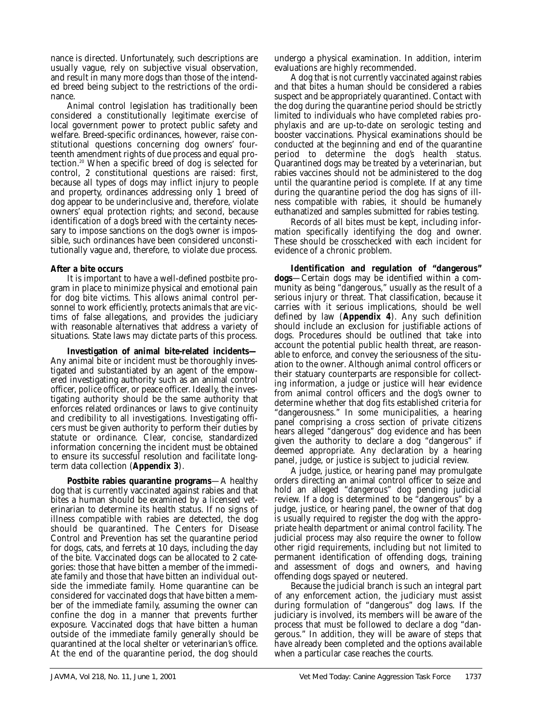nance is directed. Unfortunately, such descriptions are usually vague, rely on subjective visual observation, and result in many more dogs than those of the intended breed being subject to the restrictions of the ordinance.

Animal control legislation has traditionally been considered a constitutionally legitimate exercise of local government power to protect public safety and welfare. Breed-specific ordinances, however, raise constitutional questions concerning dog owners' fourteenth amendment rights of due process and equal protection.<sup>20</sup> When a specific breed of dog is selected for control, 2 constitutional questions are raised: first, because all types of dogs may inflict injury to people and property, ordinances addressing only 1 breed of dog appear to be underinclusive and, therefore, violate owners' equal protection rights; and second, because identification of a dog's breed with the certainty necessary to impose sanctions on the dog's owner is impossible, such ordinances have been considered unconstitutionally vague and, therefore, to violate due process.

### **After a bite occurs**

It is important to have a well-defined postbite program in place to minimize physical and emotional pain for dog bite victims. This allows animal control personnel to work efficiently, protects animals that are victims of false allegations, and provides the judiciary with reasonable alternatives that address a variety of situations. State laws may dictate parts of this process.

**Investigation of animal bite-related incidents—** Any animal bite or incident must be thoroughly investigated and substantiated by an agent of the empowered investigating authority such as an animal control officer, police officer, or peace officer. Ideally, the investigating authority should be the same authority that enforces related ordinances or laws to give continuity and credibility to all investigations. Investigating officers must be given authority to perform their duties by statute or ordinance. Clear, concise, standardized information concerning the incident must be obtained to ensure its successful resolution and facilitate longterm data collection (**Appendix 3**).

**Postbite rabies quarantine programs**—A healthy dog that is currently vaccinated against rabies and that bites a human should be examined by a licensed veterinarian to determine its health status. If no signs of illness compatible with rabies are detected, the dog should be quarantined. The Centers for Disease Control and Prevention has set the quarantine period for dogs, cats, and ferrets at 10 days, including the day of the bite. Vaccinated dogs can be allocated to 2 categories: those that have bitten a member of the immediate family and those that have bitten an individual outside the immediate family. Home quarantine can be considered for vaccinated dogs that have bitten a member of the immediate family, assuming the owner can confine the dog in a manner that prevents further exposure. Vaccinated dogs that have bitten a human outside of the immediate family generally should be quarantined at the local shelter or veterinarian's office. At the end of the quarantine period, the dog should undergo a physical examination. In addition, interim evaluations are highly recommended.

A dog that is not currently vaccinated against rabies and that bites a human should be considered a rabies suspect and be appropriately quarantined. Contact with the dog during the quarantine period should be strictly limited to individuals who have completed rabies prophylaxis and are up-to-date on serologic testing and booster vaccinations. Physical examinations should be conducted at the beginning and end of the quarantine period to determine the dog's health status. Quarantined dogs may be treated by a veterinarian, but rabies vaccines should not be administered to the dog until the quarantine period is complete. If at any time during the quarantine period the dog has signs of illness compatible with rabies, it should be humanely euthanatized and samples submitted for rabies testing.

Records of all bites must be kept, including information specifically identifying the dog and owner. These should be crosschecked with each incident for evidence of a chronic problem.

**Identification and regulation of "dangerous" dogs**—Certain dogs may be identified within a community as being "dangerous," usually as the result of a serious injury or threat. That classification, because it carries with it serious implications, should be well defined by law (**Appendix 4**). Any such definition should include an exclusion for justifiable actions of dogs. Procedures should be outlined that take into account the potential public health threat, are reasonable to enforce, and convey the seriousness of the situation to the owner. Although animal control officers or their statuary counterparts are responsible for collecting information, a judge or justice will hear evidence from animal control officers and the dog's owner to determine whether that dog fits established criteria for "dangerousness." In some municipalities, a hearing panel comprising a cross section of private citizens hears alleged "dangerous" dog evidence and has been given the authority to declare a dog "dangerous" if deemed appropriate. Any declaration by a hearing panel, judge, or justice is subject to judicial review.

A judge, justice, or hearing panel may promulgate orders directing an animal control officer to seize and hold an alleged "dangerous" dog pending judicial review. If a dog is determined to be "dangerous" by a judge, justice, or hearing panel, the owner of that dog is usually required to register the dog with the appropriate health department or animal control facility. The judicial process may also require the owner to follow other rigid requirements, including but not limited to permanent identification of offending dogs, training and assessment of dogs and owners, and having offending dogs spayed or neutered.

Because the judicial branch is such an integral part of any enforcement action, the judiciary must assist during formulation of "dangerous" dog laws. If the judiciary is involved, its members will be aware of the process that must be followed to declare a dog "dangerous." In addition, they will be aware of steps that have already been completed and the options available when a particular case reaches the courts.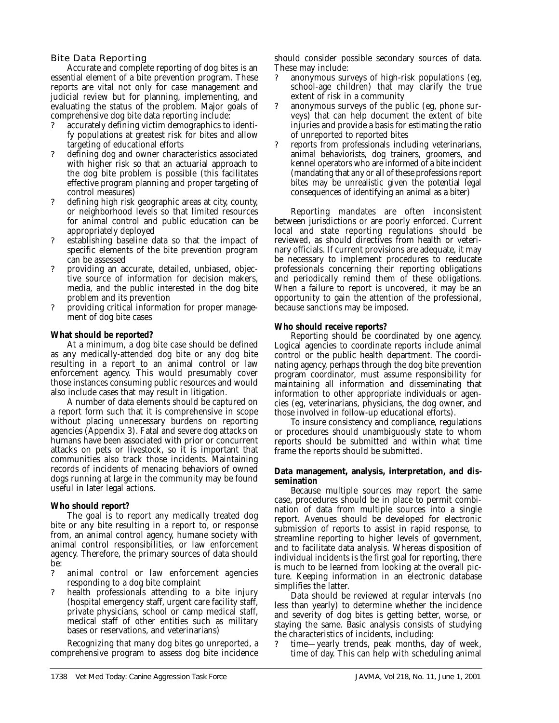## Bite Data Reporting

Accurate and complete reporting of dog bites is an essential element of a bite prevention program. These reports are vital not only for case management and judicial review but for planning, implementing, and evaluating the status of the problem. Major goals of comprehensive dog bite data reporting include:

- accurately defining victim demographics to identify populations at greatest risk for bites and allow targeting of educational efforts
- ? defining dog and owner characteristics associated with higher risk so that an actuarial approach to the dog bite problem is possible (this facilitates effective program planning and proper targeting of control measures)
- defining high risk geographic areas at city, county, or neighborhood levels so that limited resources for animal control and public education can be appropriately deployed
- establishing baseline data so that the impact of specific elements of the bite prevention program can be assessed
- providing an accurate, detailed, unbiased, objective source of information for decision makers, media, and the public interested in the dog bite problem and its prevention
- ? providing critical information for proper management of dog bite cases

## **What should be reported?**

At a minimum, a dog bite case should be defined as any medically-attended dog bite or any dog bite resulting in a report to an animal control or law enforcement agency. This would presumably cover those instances consuming public resources and would also include cases that may result in litigation.

A number of data elements should be captured on a report form such that it is comprehensive in scope without placing unnecessary burdens on reporting agencies (Appendix 3). Fatal and severe dog attacks on humans have been associated with prior or concurrent attacks on pets or livestock, so it is important that communities also track those incidents. Maintaining records of incidents of menacing behaviors of owned dogs running at large in the community may be found useful in later legal actions.

### **Who should report?**

The goal is to report any medically treated dog bite or any bite resulting in a report to, or response from, an animal control agency, humane society with animal control responsibilities, or law enforcement agency. Therefore, the primary sources of data should be:

- ? animal control or law enforcement agencies responding to a dog bite complaint
- health professionals attending to a bite injury (hospital emergency staff, urgent care facility staff, private physicians, school or camp medical staff, medical staff of other entities such as military bases or reservations, and veterinarians)

Recognizing that many dog bites go unreported, a comprehensive program to assess dog bite incidence should consider possible secondary sources of data. These may include:

- ? anonymous surveys of high-risk populations (eg, school-age children) that may clarify the true extent of risk in a community
- ? anonymous surveys of the public (eg, phone surveys) that can help document the extent of bite injuries and provide a basis for estimating the ratio of unreported to reported bites
- ? reports from professionals including veterinarians, animal behaviorists, dog trainers, groomers, and kennel operators who are informed of a bite incident (mandating that any or all of these professions report bites may be unrealistic given the potential legal consequences of identifying an animal as a biter)

Reporting mandates are often inconsistent between jurisdictions or are poorly enforced. Current local and state reporting regulations should be reviewed, as should directives from health or veterinary officials. If current provisions are adequate, it may be necessary to implement procedures to reeducate professionals concerning their reporting obligations and periodically remind them of these obligations. When a failure to report is uncovered, it may be an opportunity to gain the attention of the professional, because sanctions may be imposed.

## **Who should receive reports?**

Reporting should be coordinated by one agency. Logical agencies to coordinate reports include animal control or the public health department. The coordinating agency, perhaps through the dog bite prevention program coordinator, must assume responsibility for maintaining all information and disseminating that information to other appropriate individuals or agencies (eg, veterinarians, physicians, the dog owner, and those involved in follow-up educational efforts).

To insure consistency and compliance, regulations or procedures should unambiguously state to whom reports should be submitted and within what time frame the reports should be submitted.

#### **Data management, analysis, interpretation, and dissemination**

Because multiple sources may report the same case, procedures should be in place to permit combination of data from multiple sources into a single report. Avenues should be developed for electronic submission of reports to assist in rapid response, to streamline reporting to higher levels of government, and to facilitate data analysis. Whereas disposition of individual incidents is the first goal for reporting, there is much to be learned from looking at the overall picture. Keeping information in an electronic database simplifies the latter.

Data should be reviewed at regular intervals (no less than yearly) to determine whether the incidence and severity of dog bites is getting better, worse, or staying the same. Basic analysis consists of studying the characteristics of incidents, including:

? time—yearly trends, peak months, day of week, time of day. This can help with scheduling animal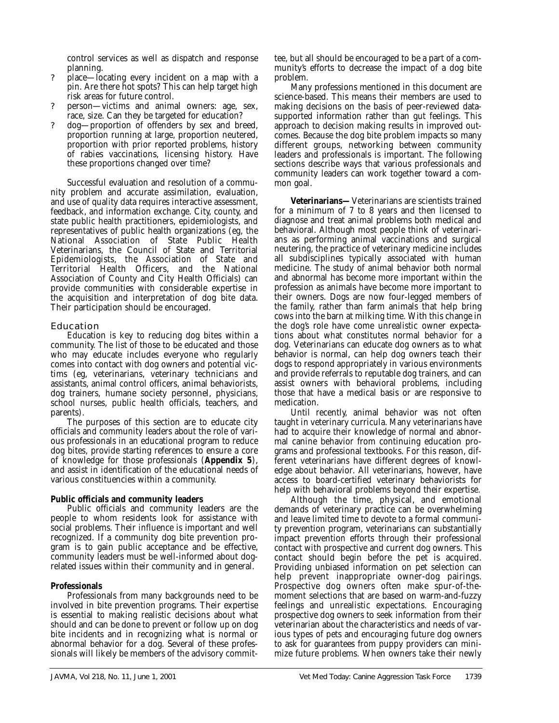control services as well as dispatch and response planning.

- ? place—locating every incident on a map with a pin. Are there hot spots? This can help target high risk areas for future control.
- ? person—victims and animal owners: age, sex, race, size. Can they be targeted for education?
- ? dog—proportion of offenders by sex and breed, proportion running at large, proportion neutered, proportion with prior reported problems, history of rabies vaccinations, licensing history. Have these proportions changed over time?

Successful evaluation and resolution of a community problem and accurate assimilation, evaluation, and use of quality data requires interactive assessment, feedback, and information exchange. City, county, and state public health practitioners, epidemiologists, and representatives of public health organizations (eg, the National Association of State Public Health Veterinarians, the Council of State and Territorial Epidemiologists, the Association of State and Territorial Health Officers, and the National Association of County and City Health Officials) can provide communities with considerable expertise in the acquisition and interpretation of dog bite data. Their participation should be encouraged.

### Education

Education is key to reducing dog bites within a community. The list of those to be educated and those who may educate includes everyone who regularly comes into contact with dog owners and potential victims (eg, veterinarians, veterinary technicians and assistants, animal control officers, animal behaviorists, dog trainers, humane society personnel, physicians, school nurses, public health officials, teachers, and parents).

The purposes of this section are to educate city officials and community leaders about the role of various professionals in an educational program to reduce dog bites, provide starting references to ensure a core of knowledge for those professionals (**Appendix 5**), and assist in identification of the educational needs of various constituencies within a community.

### **Public officials and community leaders**

Public officials and community leaders are the people to whom residents look for assistance with social problems. Their influence is important and well recognized. If a community dog bite prevention program is to gain public acceptance and be effective, community leaders must be well-informed about dogrelated issues within their community and in general.

### **Professionals**

Professionals from many backgrounds need to be involved in bite prevention programs. Their expertise is essential to making realistic decisions about what should and can be done to prevent or follow up on dog bite incidents and in recognizing what is normal or abnormal behavior for a dog. Several of these professionals will likely be members of the advisory committee, but all should be encouraged to be a part of a community's efforts to decrease the impact of a dog bite problem.

Many professions mentioned in this document are science-based. This means their members are used to making decisions on the basis of peer-reviewed datasupported information rather than gut feelings. This approach to decision making results in improved outcomes. Because the dog bite problem impacts so many different groups, networking between community leaders and professionals is important. The following sections describe ways that various professionals and community leaders can work together toward a common goal.

**Veterinarians—**Veterinarians are scientists trained for a minimum of 7 to 8 years and then licensed to diagnose and treat animal problems both medical and behavioral. Although most people think of veterinarians as performing animal vaccinations and surgical neutering, the practice of veterinary medicine includes all subdisciplines typically associated with human medicine. The study of animal behavior both normal and abnormal has become more important within the profession as animals have become more important to their owners. Dogs are now four-legged members of the family, rather than farm animals that help bring cows into the barn at milking time. With this change in the dog's role have come unrealistic owner expectations about what constitutes normal behavior for a dog. Veterinarians can educate dog owners as to what behavior is normal, can help dog owners teach their dogs to respond appropriately in various environments and provide referrals to reputable dog trainers, and can assist owners with behavioral problems, including those that have a medical basis or are responsive to medication.

Until recently, animal behavior was not often taught in veterinary curricula. Many veterinarians have had to acquire their knowledge of normal and abnormal canine behavior from continuing education programs and professional textbooks. For this reason, different veterinarians have different degrees of knowledge about behavior. All veterinarians, however, have access to board-certified veterinary behaviorists for help with behavioral problems beyond their expertise.

Although the time, physical, and emotional demands of veterinary practice can be overwhelming and leave limited time to devote to a formal community prevention program, veterinarians can substantially impact prevention efforts through their professional contact with prospective and current dog owners. This contact should begin before the pet is acquired. Providing unbiased information on pet selection can help prevent inappropriate owner-dog pairings. Prospective dog owners often make spur-of-themoment selections that are based on warm-and-fuzzy feelings and unrealistic expectations. Encouraging prospective dog owners to seek information from their veterinarian about the characteristics and needs of various types of pets and encouraging future dog owners to ask for guarantees from puppy providers can minimize future problems. When owners take their newly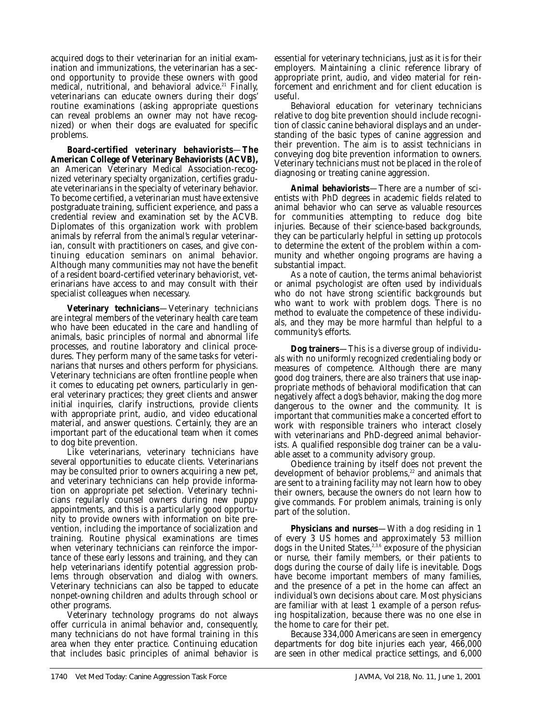acquired dogs to their veterinarian for an initial examination and immunizations, the veterinarian has a second opportunity to provide these owners with good medical, nutritional, and behavioral advice.<sup>21</sup> Finally, veterinarians can educate owners during their dogs' routine examinations (asking appropriate questions can reveal problems an owner may not have recognized) or when their dogs are evaluated for specific problems.

**Board-certified veterinary behaviorists**—**The American College of Veterinary Behaviorists (ACVB),** an American Veterinary Medical Association-recognized veterinary specialty organization, certifies graduate veterinarians in the specialty of veterinary behavior. To become certified, a veterinarian must have extensive postgraduate training, sufficient experience, and pass a credential review and examination set by the ACVB. Diplomates of this organization work with problem animals by referral from the animal's regular veterinarian, consult with practitioners on cases, and give continuing education seminars on animal behavior. Although many communities may not have the benefit of a resident board-certified veterinary behaviorist, veterinarians have access to and may consult with their specialist colleagues when necessary.

**Veterinary technicians**—Veterinary technicians are integral members of the veterinary health care team who have been educated in the care and handling of animals, basic principles of normal and abnormal life processes, and routine laboratory and clinical procedures. They perform many of the same tasks for veterinarians that nurses and others perform for physicians. Veterinary technicians are often frontline people when it comes to educating pet owners, particularly in general veterinary practices; they greet clients and answer initial inquiries, clarify instructions, provide clients with appropriate print, audio, and video educational material, and answer questions. Certainly, they are an important part of the educational team when it comes to dog bite prevention.

Like veterinarians, veterinary technicians have several opportunities to educate clients. Veterinarians may be consulted prior to owners acquiring a new pet, and veterinary technicians can help provide information on appropriate pet selection. Veterinary technicians regularly counsel owners during new puppy appointments, and this is a particularly good opportunity to provide owners with information on bite prevention, including the importance of socialization and training. Routine physical examinations are times when veterinary technicians can reinforce the importance of these early lessons and training, and they can help veterinarians identify potential aggression problems through observation and dialog with owners. Veterinary technicians can also be tapped to educate nonpet-owning children and adults through school or other programs.

Veterinary technology programs do not always offer curricula in animal behavior and, consequently, many technicians do not have formal training in this area when they enter practice. Continuing education that includes basic principles of animal behavior is essential for veterinary technicians, just as it is for their employers. Maintaining a clinic reference library of appropriate print, audio, and video material for reinforcement and enrichment and for client education is useful.

Behavioral education for veterinary technicians relative to dog bite prevention should include recognition of classic canine behavioral displays and an understanding of the basic types of canine aggression and their prevention. The aim is to assist technicians in conveying dog bite prevention information to owners. Veterinary technicians must not be placed in the role of diagnosing or treating canine aggression.

**Animal behaviorists**—There are a number of scientists with PhD degrees in academic fields related to animal behavior who can serve as valuable resources for communities attempting to reduce dog bite injuries. Because of their science-based backgrounds, they can be particularly helpful in setting up protocols to determine the extent of the problem within a community and whether ongoing programs are having a substantial impact.

As a note of caution, the terms animal behaviorist or animal psychologist are often used by individuals who do not have strong scientific backgrounds but who want to work with problem dogs. There is no method to evaluate the competence of these individuals, and they may be more harmful than helpful to a community's efforts.

**Dog trainers**—This is a diverse group of individuals with no uniformly recognized credentialing body or measures of competence. Although there are many good dog trainers, there are also trainers that use inappropriate methods of behavioral modification that can negatively affect a dog's behavior, making the dog more dangerous to the owner and the community. It is important that communities make a concerted effort to work with responsible trainers who interact closely with veterinarians and PhD-degreed animal behaviorists. A qualified responsible dog trainer can be a valuable asset to a community advisory group.

Obedience training by itself does not prevent the development of behavior problems,<sup>22</sup> and animals that are sent to a training facility may not learn how to obey their owners, because the owners do not learn how to give commands. For problem animals, training is only part of the solution.

**Physicians and nurses**—With a dog residing in 1 of every 3 US homes and approximately 53 million dogs in the United States,<sup>2,3,6</sup> exposure of the physician or nurse, their family members, or their patients to dogs during the course of daily life is inevitable. Dogs have become important members of many families, and the presence of a pet in the home can affect an individual's own decisions about care. Most physicians are familiar with at least 1 example of a person refusing hospitalization, because there was no one else in the home to care for their pet.

Because 334,000 Americans are seen in emergency departments for dog bite injuries each year, 466,000 are seen in other medical practice settings, and 6,000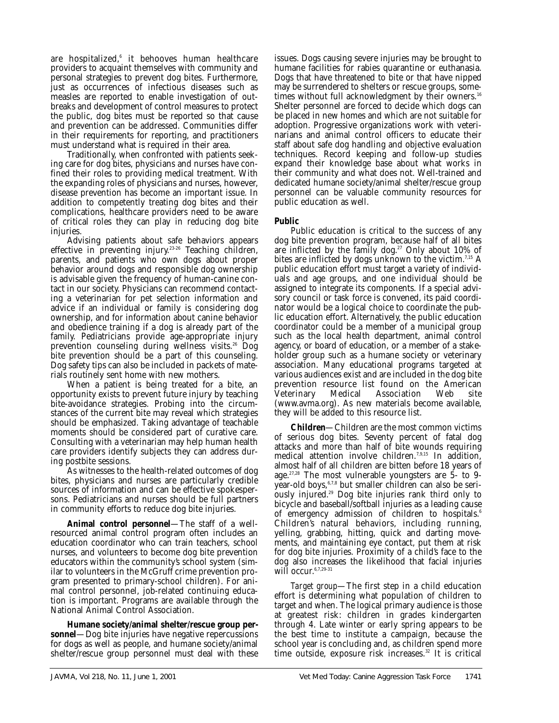are hospitalized, $^{\rm s}$  it behooves human healthcare providers to acquaint themselves with community and personal strategies to prevent dog bites. Furthermore, just as occurrences of infectious diseases such as measles are reported to enable investigation of outbreaks and development of control measures to protect the public, dog bites must be reported so that cause and prevention can be addressed. Communities differ in their requirements for reporting, and practitioners must understand what is required in their area.

Traditionally, when confronted with patients seeking care for dog bites, physicians and nurses have confined their roles to providing medical treatment. With the expanding roles of physicians and nurses, however, disease prevention has become an important issue. In addition to competently treating dog bites and their complications, healthcare providers need to be aware of critical roles they can play in reducing dog bite injuries.

Advising patients about safe behaviors appears effective in preventing injury.<sup>23-26</sup> Teaching children, parents, and patients who own dogs about proper behavior around dogs and responsible dog ownership is advisable given the frequency of human-canine contact in our society. Physicians can recommend contacting a veterinarian for pet selection information and advice if an individual or family is considering dog ownership, and for information about canine behavior and obedience training if a dog is already part of the family. Pediatricians provide age-appropriate injury prevention counseling during wellness visits.<sup>26</sup> Dog bite prevention should be a part of this counseling. Dog safety tips can also be included in packets of materials routinely sent home with new mothers.

When a patient is being treated for a bite, an opportunity exists to prevent future injury by teaching bite-avoidance strategies. Probing into the circumstances of the current bite may reveal which strategies should be emphasized. Taking advantage of teachable moments should be considered part of curative care. Consulting with a veterinarian may help human health care providers identify subjects they can address during postbite sessions.

As witnesses to the health-related outcomes of dog bites, physicians and nurses are particularly credible sources of information and can be effective spokespersons. Pediatricians and nurses should be full partners in community efforts to reduce dog bite injuries.

**Animal control personnel**—The staff of a wellresourced animal control program often includes an education coordinator who can train teachers, school nurses, and volunteers to become dog bite prevention educators within the community's school system (similar to volunteers in the McGruff crime prevention program presented to primary-school children). For animal control personnel, job-related continuing education is important. Programs are available through the National Animal Control Association.

**Humane society/animal shelter/rescue group personnel**—Dog bite injuries have negative repercussions for dogs as well as people, and humane society/animal shelter/rescue group personnel must deal with these issues. Dogs causing severe injuries may be brought to humane facilities for rabies quarantine or euthanasia. Dogs that have threatened to bite or that have nipped may be surrendered to shelters or rescue groups, sometimes without full acknowledgment by their owners.<sup>16</sup> Shelter personnel are forced to decide which dogs can be placed in new homes and which are not suitable for adoption. Progressive organizations work with veterinarians and animal control officers to educate their staff about safe dog handling and objective evaluation techniques. Record keeping and follow-up studies expand their knowledge base about what works in their community and what does not. Well-trained and dedicated humane society/animal shelter/rescue group personnel can be valuable community resources for public education as well.

### **Public**

Public education is critical to the success of any dog bite prevention program, because half of all bites are inflicted by the family dog.<sup>27</sup> Only about 10% of bites are inflicted by dogs unknown to the victim.<sup>7,15</sup> A public education effort must target a variety of individuals and age groups, and one individual should be assigned to integrate its components. If a special advisory council or task force is convened, its paid coordinator would be a logical choice to coordinate the public education effort. Alternatively, the public education coordinator could be a member of a municipal group such as the local health department, animal control agency, or board of education, or a member of a stakeholder group such as a humane society or veterinary association. Many educational programs targeted at various audiences exist and are included in the dog bite prevention resource list found on the American Veterinary Medical Association Web site (www.avma.org). As new materials become available, they will be added to this resource list.

**Children**—Children are the most common victims of serious dog bites. Seventy percent of fatal dog attacks and more than half of bite wounds requiring medical attention involve children.<sup>7,9,15</sup> In addition, almost half of all children are bitten before 18 years of age.<sup>27,28</sup> The most vulnerable youngsters are  $\ddot{5}$ - to 9year-old boys,<sup>6,7,8</sup> but smaller children can also be seriously injured.<sup>29</sup> Dog bite injuries rank third only to bicycle and baseball/softball injuries as a leading cause of emergency admission of children to hospitals.<sup>6</sup> Children's natural behaviors, including running, yelling, grabbing, hitting, quick and darting movements, and maintaining eye contact, put them at risk for dog bite injuries. Proximity of a child's face to the dog also increases the likelihood that facial injuries will occur.<sup>6,7,29-31</sup>

*Target group*—The first step in a child education effort is determining what population of children to target and when. The logical primary audience is those at greatest risk: children in grades kindergarten through 4. Late winter or early spring appears to be the best time to institute a campaign, because the school year is concluding and, as children spend more time outside, exposure risk increases.<sup>32</sup> It is critical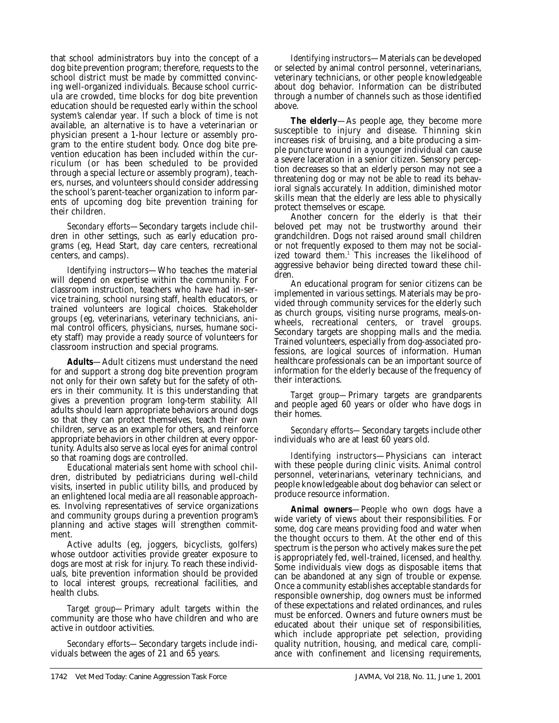that school administrators buy into the concept of a dog bite prevention program; therefore, requests to the school district must be made by committed convincing well-organized individuals. Because school curricula are crowded, time blocks for dog bite prevention education should be requested early within the school system's calendar year. If such a block of time is not available, an alternative is to have a veterinarian or physician present a 1-hour lecture or assembly program to the entire student body. Once dog bite prevention education has been included within the curriculum (or has been scheduled to be provided through a special lecture or assembly program), teachers, nurses, and volunteers should consider addressing the school's parent-teacher organization to inform parents of upcoming dog bite prevention training for their children.

*Secondary efforts*—Secondary targets include children in other settings, such as early education programs (eg, Head Start, day care centers, recreational centers, and camps).

*Identifying instructors*—Who teaches the material will depend on expertise within the community. For classroom instruction, teachers who have had in-service training, school nursing staff, health educators, or trained volunteers are logical choices. Stakeholder groups (eg, veterinarians, veterinary technicians, animal control officers, physicians, nurses, humane society staff) may provide a ready source of volunteers for classroom instruction and special programs.

**Adults**—Adult citizens must understand the need for and support a strong dog bite prevention program not only for their own safety but for the safety of others in their community. It is this understanding that gives a prevention program long-term stability. All adults should learn appropriate behaviors around dogs so that they can protect themselves, teach their own children, serve as an example for others, and reinforce appropriate behaviors in other children at every opportunity. Adults also serve as local eyes for animal control so that roaming dogs are controlled.

Educational materials sent home with school children, distributed by pediatricians during well-child visits, inserted in public utility bills, and produced by an enlightened local media are all reasonable approaches. Involving representatives of service organizations and community groups during a prevention program's planning and active stages will strengthen commitment.

Active adults (eg, joggers, bicyclists, golfers) whose outdoor activities provide greater exposure to dogs are most at risk for injury. To reach these individuals, bite prevention information should be provided to local interest groups, recreational facilities, and health clubs.

*Target group—*Primary adult targets within the community are those who have children and who are active in outdoor activities.

*Secondary efforts—*Secondary targets include individuals between the ages of 21 and 65 years.

*Identifying instructors*—Materials can be developed or selected by animal control personnel, veterinarians, veterinary technicians, or other people knowledgeable about dog behavior. Information can be distributed through a number of channels such as those identified above.

**The elderly**—As people age, they become more susceptible to injury and disease. Thinning skin increases risk of bruising, and a bite producing a simple puncture wound in a younger individual can cause a severe laceration in a senior citizen. Sensory perception decreases so that an elderly person may not see a threatening dog or may not be able to read its behavioral signals accurately. In addition, diminished motor skills mean that the elderly are less able to physically protect themselves or escape.

Another concern for the elderly is that their beloved pet may not be trustworthy around their grandchildren. Dogs not raised around small children or not frequently exposed to them may not be socialized toward them.<sup>1</sup> This increases the likelihood of aggressive behavior being directed toward these children.

An educational program for senior citizens can be implemented in various settings. Materials may be provided through community services for the elderly such as church groups, visiting nurse programs, meals-onwheels, recreational centers, or travel groups. Secondary targets are shopping malls and the media. Trained volunteers, especially from dog-associated professions, are logical sources of information. Human healthcare professionals can be an important source of information for the elderly because of the frequency of their interactions.

*Target group—*Primary targets are grandparents and people aged 60 years or older who have dogs in their homes.

*Secondary efforts—*Secondary targets include other individuals who are at least 60 years old.

*Identifying instructors*—Physicians can interact with these people during clinic visits. Animal control personnel, veterinarians, veterinary technicians, and people knowledgeable about dog behavior can select or produce resource information.

**Animal owners**—People who own dogs have a wide variety of views about their responsibilities. For some, dog care means providing food and water when the thought occurs to them. At the other end of this spectrum is the person who actively makes sure the pet is appropriately fed, well-trained, licensed, and healthy. Some individuals view dogs as disposable items that can be abandoned at any sign of trouble or expense. Once a community establishes acceptable standards for responsible ownership, dog owners must be informed of these expectations and related ordinances, and rules must be enforced. Owners and future owners must be educated about their unique set of responsibilities, which include appropriate pet selection, providing quality nutrition, housing, and medical care, compliance with confinement and licensing requirements,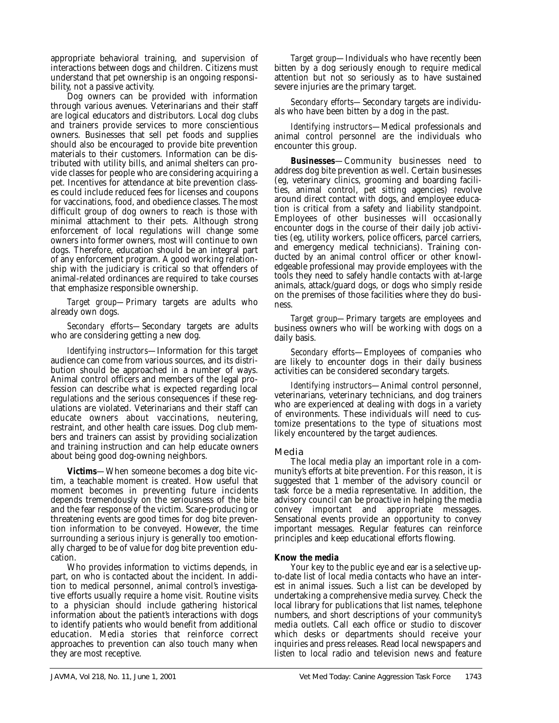appropriate behavioral training, and supervision of interactions between dogs and children. Citizens must understand that pet ownership is an ongoing responsibility, not a passive activity.

Dog owners can be provided with information through various avenues. Veterinarians and their staff are logical educators and distributors. Local dog clubs and trainers provide services to more conscientious owners. Businesses that sell pet foods and supplies should also be encouraged to provide bite prevention materials to their customers. Information can be distributed with utility bills, and animal shelters can provide classes for people who are considering acquiring a pet. Incentives for attendance at bite prevention classes could include reduced fees for licenses and coupons for vaccinations, food, and obedience classes. The most difficult group of dog owners to reach is those with minimal attachment to their pets. Although strong enforcement of local regulations will change some owners into former owners, most will continue to own dogs. Therefore, education should be an integral part of any enforcement program. A good working relationship with the judiciary is critical so that offenders of animal-related ordinances are required to take courses that emphasize responsible ownership.

*Target group—*Primary targets are adults who already own dogs.

*Secondary efforts—*Secondary targets are adults who are considering getting a new dog.

*Identifying instructors*—Information for this target audience can come from various sources, and its distribution should be approached in a number of ways. Animal control officers and members of the legal profession can describe what is expected regarding local regulations and the serious consequences if these regulations are violated. Veterinarians and their staff can educate owners about vaccinations, neutering, restraint, and other health care issues. Dog club members and trainers can assist by providing socialization and training instruction and can help educate owners about being good dog-owning neighbors.

**Victims**—When someone becomes a dog bite victim, a teachable moment is created. How useful that moment becomes in preventing future incidents depends tremendously on the seriousness of the bite and the fear response of the victim. Scare-producing or threatening events are good times for dog bite prevention information to be conveyed. However, the time surrounding a serious injury is generally too emotionally charged to be of value for dog bite prevention education.

Who provides information to victims depends, in part, on who is contacted about the incident. In addition to medical personnel, animal control's investigative efforts usually require a home visit. Routine visits to a physician should include gathering historical information about the patient's interactions with dogs to identify patients who would benefit from additional education. Media stories that reinforce correct approaches to prevention can also touch many when they are most receptive.

*Target group*—Individuals who have recently been bitten by a dog seriously enough to require medical attention but not so seriously as to have sustained severe injuries are the primary target.

*Secondary efforts—*Secondary targets are individuals who have been bitten by a dog in the past.

*Identifying instructors*—Medical professionals and animal control personnel are the individuals who encounter this group.

**Businesses**—Community businesses need to address dog bite prevention as well. Certain businesses (eg, veterinary clinics, grooming and boarding facilities, animal control, pet sitting agencies) revolve around direct contact with dogs, and employee education is critical from a safety and liability standpoint. Employees of other businesses will occasionally encounter dogs in the course of their daily job activities (eg, utility workers, police officers, parcel carriers, and emergency medical technicians). Training conducted by an animal control officer or other knowledgeable professional may provide employees with the tools they need to safely handle contacts with at-large animals, attack/guard dogs, or dogs who simply reside on the premises of those facilities where they do business.

*Target group—*Primary targets are employees and business owners who will be working with dogs on a daily basis.

*Secondary efforts*—Employees of companies who are likely to encounter dogs in their daily business activities can be considered secondary targets.

*Identifying instructors*—Animal control personnel, veterinarians, veterinary technicians, and dog trainers who are experienced at dealing with dogs in a variety of environments. These individuals will need to customize presentations to the type of situations most likely encountered by the target audiences.

## Media

The local media play an important role in a community's efforts at bite prevention. For this reason, it is suggested that 1 member of the advisory council or task force be a media representative. In addition, the advisory council can be proactive in helping the media convey important and appropriate messages. Sensational events provide an opportunity to convey important messages. Regular features can reinforce principles and keep educational efforts flowing.

### **Know the media**

Your key to the public eye and ear is a selective upto-date list of local media contacts who have an interest in animal issues. Such a list can be developed by undertaking a comprehensive media survey. Check the local library for publications that list names, telephone numbers, and short descriptions of your community's media outlets. Call each office or studio to discover which desks or departments should receive your inquiries and press releases. Read local newspapers and listen to local radio and television news and feature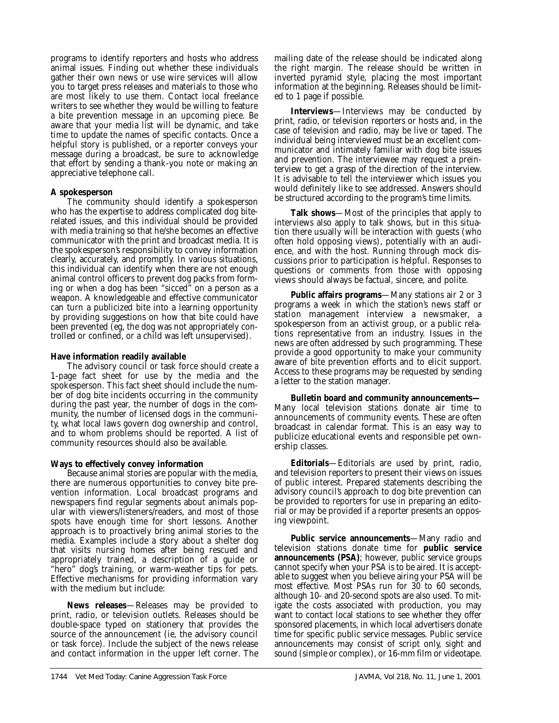programs to identify reporters and hosts who address animal issues. Finding out whether these individuals gather their own news or use wire services will allow you to target press releases and materials to those who are most likely to use them. Contact local freelance writers to see whether they would be willing to feature a bite prevention message in an upcoming piece. Be aware that your media list will be dynamic, and take time to update the names of specific contacts. Once a helpful story is published, or a reporter conveys your message during a broadcast, be sure to acknowledge that effort by sending a thank-you note or making an appreciative telephone call.

## **A spokesperson**

The community should identify a spokesperson who has the expertise to address complicated dog biterelated issues, and this individual should be provided with media training so that he/she becomes an effective communicator with the print and broadcast media. It is the spokesperson's responsibility to convey information clearly, accurately, and promptly. In various situations, this individual can identify when there are not enough animal control officers to prevent dog packs from forming or when a dog has been "sicced" on a person as a weapon. A knowledgeable and effective communicator can turn a publicized bite into a learning opportunity by providing suggestions on how that bite could have been prevented (eg, the dog was not appropriately controlled or confined, or a child was left unsupervised).

### **Have information readily available**

The advisory council or task force should create a 1-page fact sheet for use by the media and the spokesperson. This fact sheet should include the number of dog bite incidents occurring in the community during the past year, the number of dogs in the community, the number of licensed dogs in the community, what local laws govern dog ownership and control, and to whom problems should be reported. A list of community resources should also be available.

### **Ways to effectively convey information**

Because animal stories are popular with the media, there are numerous opportunities to convey bite prevention information. Local broadcast programs and newspapers find regular segments about animals popular with viewers/listeners/readers, and most of those spots have enough time for short lessons. Another approach is to proactively bring animal stories to the media. Examples include a story about a shelter dog that visits nursing homes after being rescued and appropriately trained, a description of a guide or "hero" dog's training, or warm-weather tips for pets. Effective mechanisms for providing information vary with the medium but include:

**News releases**—Releases may be provided to print, radio, or television outlets. Releases should be double-space typed on stationery that provides the source of the announcement (ie, the advisory council or task force). Include the subject of the news release and contact information in the upper left corner. The mailing date of the release should be indicated along the right margin. The release should be written in inverted pyramid style, placing the most important information at the beginning. Releases should be limited to 1 page if possible.

**Interviews**—Interviews may be conducted by print, radio, or television reporters or hosts and, in the case of television and radio, may be live or taped. The individual being interviewed must be an excellent communicator and intimately familiar with dog bite issues and prevention. The interviewee may request a preinterview to get a grasp of the direction of the interview. It is advisable to tell the interviewer which issues you would definitely like to see addressed. Answers should be structured according to the program's time limits.

**Talk shows**—Most of the principles that apply to interviews also apply to talk shows, but in this situation there usually will be interaction with guests (who often hold opposing views), potentially with an audience, and with the host. Running through mock discussions prior to participation is helpful. Responses to questions or comments from those with opposing views should always be factual, sincere, and polite.

**Public affairs programs**—Many stations air 2 or 3 programs a week in which the station's news staff or station management interview a newsmaker, a spokesperson from an activist group, or a public relations representative from an industry. Issues in the news are often addressed by such programming. These provide a good opportunity to make your community aware of bite prevention efforts and to elicit support. Access to these programs may be requested by sending a letter to the station manager.

**Bulletin board and community announcements—** Many local television stations donate air time to announcements of community events. These are often broadcast in calendar format. This is an easy way to publicize educational events and responsible pet ownership classes.

**Editorials**—Editorials are used by print, radio, and television reporters to present their views on issues of public interest. Prepared statements describing the advisory council's approach to dog bite prevention can be provided to reporters for use in preparing an editorial or may be provided if a reporter presents an opposing viewpoint.

**Public service announcements**—Many radio and television stations donate time for **public service announcements (PSA)**; however, public service groups cannot specify when your PSA is to be aired. It is acceptable to suggest when you believe airing your PSA will be most effective. Most PSAs run for 30 to 60 seconds, although 10- and 20-second spots are also used. To mitigate the costs associated with production, you may want to contact local stations to see whether they offer sponsored placements, in which local advertisers donate time for specific public service messages. Public service announcements may consist of script only, sight and sound (simple or complex), or 16-mm film or videotape.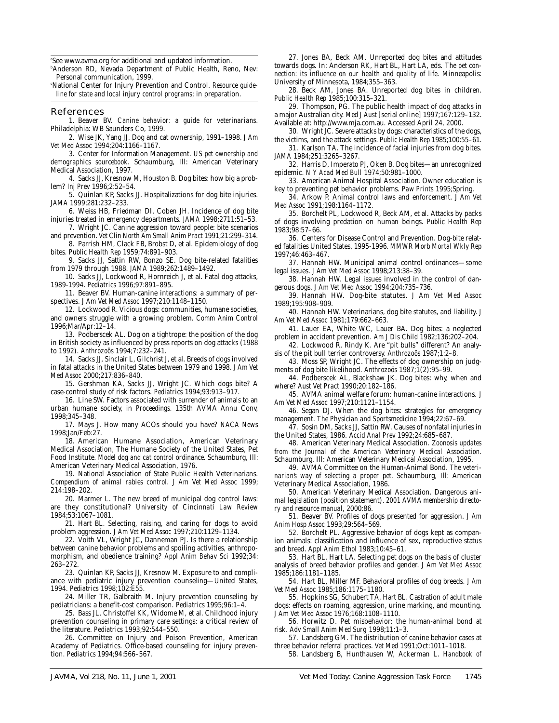a See www.avma.org for additional and updated information.

**bAnderson RD, Nevada Department of Public Health, Reno, Nev:** Personal communication, 1999.

<sup>c</sup>National Center for Injury Prevention and Control. *Resource guideline for state and local injury control programs*; in preparation.

#### References

1. Beaver BV. *Canine behavior: a guide for veterinarians*. Philadelphia: WB Saunders Co, 1999.

2. Wise JK, Yang JJ. Dog and cat ownership, 1991–1998. *J Am Vet Med Assoc* 1994;204:1166–1167.

3. Center for Information Management. *US pet ownership and demographics sourcebook*. Schaumburg, Ill: American Veterinary Medical Association, 1997.

4. Sacks JJ, Kresnow M, Houston B. Dog bites: how big a problem? *Inj Prev* 1996;2:52–54.

5. Quinlan KP, Sacks JJ. Hospitalizations for dog bite injuries. *JAMA* 1999;281:232–233.

6. Weiss HB, Friedman DI, Coben JH. Incidence of dog bite injuries treated in emergency departments. *JAMA* 1998;2711:51–53.

7. Wright JC. Canine aggression toward people: bite scenarios and prevention. *Vet Clin North Am Small Anim Pract* 1991;21:299–314.

8. Parrish HM, Clack FB, Brobst D, et al. Epidemiology of dog bites. *Public Health Rep* 1959;74:891–903.

9. Sacks JJ, Sattin RW, Bonzo SE. Dog bite-related fatalities from 1979 through 1988. *JAMA* 1989;262:1489–1492.

10. Sacks JJ, Lockwood R, Hornreich J, et al. Fatal dog attacks, 1989-1994. *Pediatrics* 1996;97:891–895.

11. Beaver BV. Human-canine interactions: a summary of perspectives. *J Am Vet Med Assoc* 1997;210:1148–1150.

12. Lockwood R. Vicious dogs: communities, humane societies, and owners struggle with a growing problem. *Comm Anim Control* 1996;Mar/Apr:12–14.

13. Podberscek AL. Dog on a tightrope: the position of the dog in British society as influenced by press reports on dog attacks (1988 to 1992). *Anthrozoös* 1994;7:232–241.

14. Sacks JJ, Sinclair L, Gilchrist J, et al. Breeds of dogs involved in fatal attacks in the United States between 1979 and 1998. *J Am Vet Med Assoc* 2000;217:836–840.

15. Gershman KA, Sacks JJ, Wright JC. Which dogs bite? A case-control study of risk factors. *Pediatrics* 1994;93:913–917.

16. Line SW. Factors associated with surrender of animals to an urban humane society, in *Proceedings*. 135th AVMA Annu Conv, 1998;345–348.

17. Mays J. How many ACOs should you have? *NACA News* 1998;Jan/Feb:27.

18. American Humane Association, American Veterinary Medical Association, The Humane Society of the United States, Pet Food Institute. *Model dog and cat control ordinance.* Schaumburg, Ill: American Veterinary Medical Association, 1976.

19. National Association of State Public Health Veterinarians. *Compendium of animal rabies control*. *J Am Vet Med Assoc* 1999; 214:198–202.

20. Marmer L. The new breed of municipal dog control laws: are they constitutional? *University of Cincinnati Law Review* 1984;53:1067–1081.

21. Hart BL. Selecting, raising, and caring for dogs to avoid problem aggression. *J Am Vet Med Assoc* 1997;210:1129–1134.

22. Voith VL, Wright JC, Danneman PJ. Is there a relationship between canine behavior problems and spoiling activities, anthropomorphism, and obedience training? *Appl Anim Behav Sci* 1992;34: 263–272.

23. Quinlan KP, Sacks JJ, Kresnow M. Exposure to and compliance with pediatric injury prevention counseling—United States, 1994. *Pediatrics* 1998;102:E55.

24. Miller TR, Galbraith M. Injury prevention counseling by pediatricians: a benefit-cost comparison. *Pediatrics* 1995;96:1–4.

25. Bass JL, Christoffel KK, Widome M, et al. Childhood injury prevention counseling in primary care settings: a critical review of the literature. *Pediatrics* 1993;92:544–550.

26. Committee on Injury and Poison Prevention, American Academy of Pediatrics. Office-based counseling for injury prevention. *Pediatrics* 1994;94:566–567.

27. Jones BA, Beck AM. Unreported dog bites and attitudes towards dogs. In: Anderson RK, Hart BL, Hart LA, eds. *The pet connection: its influence on our health and quality of life*. Minneapolis: University of Minnesota, 1984;355–363.

28. Beck AM, Jones BA. Unreported dog bites in children. *Public Health Rep* 1985;100:315–321.

29. Thompson, PG. The public health impact of dog attacks in a major Australian city. *Med J Aust* [serial online] 1997;167:129–132. Available at: http://www.mja.com.au. Accessed April 24, 2000.

30. Wright JC. Severe attacks by dogs: characteristics of the dogs, the victims, and the attack settings. *Public Health Rep* 1985;100:55–61.

31. Karlson TA. The incidence of facial injuries from dog bites. *JAMA* 1984;251:3265–3267.

32. Harris D, Imperato PJ, Oken B. Dog bites—an unrecognized epidemic. *N Y Acad Med Bull* 1974;50:981–1000.

33. American Animal Hospital Association. Owner education is key to preventing pet behavior problems. *Paw Prints* 1995;Spring.

34. Arkow P. Animal control laws and enforcement. *J Am Vet Med Assoc* 1991;198:1164–1172.

35. Borchelt PL, Lockwood R, Beck AM, et al. Attacks by packs of dogs involving predation on human beings. *Public Health Rep* 1983;98:57–66.

36. Centers for Disease Control and Prevention. Dog-bite related fatalities United States, 1995-1996. *MMWR Morb Mortal Wkly Rep* 1997;46:463–467.

37. Hannah HW. Municipal animal control ordinances—some legal issues. *J Am Vet Med Assoc* 1998;213:38–39.

38. Hannah HW. Legal issues involved in the control of dangerous dogs. *J Am Vet Med Assoc* 1994;204:735–736.

39. Hannah HW. Dog-bite statutes. *J Am Vet Med Assoc* 1989;195:908–909.

40. Hannah HW. Veterinarians, dog bite statutes, and liability. *J Am Vet Med Assoc* 1981;179:662–663.

41. Lauer EA, White WC, Lauer BA. Dog bites: a neglected problem in accident prevention. *Am J Dis Child* 1982;136:202–204.

42. Lockwood R, Rindy K. Are "pit bulls" different? An analysis of the pit bull terrier controversy. *Anthrozoös* 1987;1:2–8.

43. Moss SP, Wright JC. The effects of dog ownership on judgments of dog bite likelihood. *Anthrozoös* 1987;1(2):95–99.

44. Podberscek AL, Blackshaw JK. Dog bites: why, when and where? *Aust Vet Pract* 1990;20:182–186.

45. AVMA animal welfare forum: human-canine interactions. *J Am Vet Med Assoc* 1997;210:1121–1154.

46. Segan DJ. When the dog bites: strategies for emergency management. *The Physician and Sportsmedicine* 1994;22:67–69.

47. Sosin DM, Sacks JJ, Sattin RW. Causes of nonfatal injuries in the United States, 1986. *Accid Anal Prev* 1992;24:685–687.

48. American Veterinary Medical Association. *Zoonosis updates from the Journal of the American Veterinary Medical Association.* Schaumburg, Ill: American Veterinary Medical Association, 1995.

49. AVMA Committee on the Human-Animal Bond. *The veterinarian's way of selecting a proper pet*. Schaumburg, Ill: American Veterinary Medical Association, 1986.

50. American Veterinary Medical Association. Dangerous animal legislation (position statement). *2001 AVMA membership directory and resource manual*, 2000:86.

51. Beaver BV. Profiles of dogs presented for aggression. *J Am Anim Hosp Assoc* 1993;29:564–569.

52. Borchelt PL. Aggressive behavior of dogs kept as companion animals: classification and influence of sex, reproductive status and breed. *Appl Anim Ethol* 1983;10:45–61.

53. Hart BL, Hart LA. Selecting pet dogs on the basis of cluster analysis of breed behavior profiles and gender. *J Am Vet Med Assoc* 1985;186:1181–1185.

54. Hart BL, Miller MF. Behavioral profiles of dog breeds. *J Am Vet Med Assoc* 1985;186:1175–1180.

55. Hopkins SG, Schubert TA, Hart BL. Castration of adult male dogs: effects on roaming, aggression, urine marking, and mounting. *J Am Vet Med Assoc* 1976;168:1108–1110.

56. Horwitz D. Pet misbehavior: the human-animal bond at risk. *Adv Small Anim Med Surg* 1998;11:1–3.

57. Landsberg GM. The distribution of canine behavior cases at three behavior referral practices. *Vet Med* 1991;Oct:1011–1018.

58. Landsberg B, Hunthausen W, Ackerman L. *Handbook of*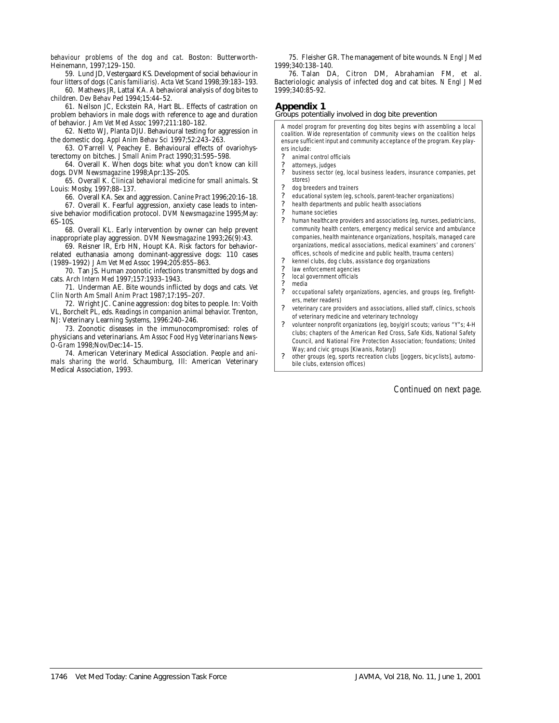*behaviour problems of the dog and cat*. Boston: Butterworth-Heinemann, 1997;129–150.

59. Lund JD, Vestergaard KS. Development of social behaviour in four litters of dogs (*Canis familiaris*). *Acta Vet Scand* 1998;39:183–193.

60. Mathews JR, Lattal KA. A behavioral analysis of dog bites to children. *Dev Behav Ped* 1994;15:44–52.

61. Neilson JC, Eckstein RA, Hart BL. Effects of castration on problem behaviors in male dogs with reference to age and duration of behavior. *J Am Vet Med Assoc* 1997;211:180–182.

62. Netto WJ, Planta DJU. Behavioural testing for aggression in the domestic dog. *Appl Anim Behav Sci* 1997;52:243–263.

63. O'Farrell V, Peachey E. Behavioural effects of ovariohysterectomy on bitches. *J Small Anim Pract* 1990;31:595–598.

64. Overall K. When dogs bite: what you don't know can kill dogs. *DVM Newsmagazine* 1998;Apr:13S–20S.

65. Overall K. *Clinical behavioral medicine for small animals*. St Louis: Mosby, 1997;88–137.

66. Overall KA. Sex and aggression. *Canine Pract* 1996;20:16–18.

67. Overall K. Fearful aggression, anxiety case leads to intensive behavior modification protocol. *DVM Newsmagazine* 1995;May: 6S–10S.

68. Overall KL. Early intervention by owner can help prevent inappropriate play aggression. *DVM Newsmagazine* 1993;26(9):43.

69. Reisner IR, Erb HN, Houpt KA. Risk factors for behaviorrelated euthanasia among dominant-aggressive dogs: 110 cases (1989–1992) *J Am Vet Med Assoc* 1994;205:855–863.

70. Tan JS. Human zoonotic infections transmitted by dogs and cats. *Arch Intern Med* 1997;157:1933–1943.

71. Underman AE. Bite wounds inflicted by dogs and cats. *Vet Clin North Am Small Anim Pract* 1987;17:195–207.

72. Wright JC. Canine aggression: dog bites to people. In: Voith VL, Borchelt PL, eds. *Readings in companion animal behavior.* Trenton, NJ: Veterinary Learning Systems, 1996:240–246.

73. Zoonotic diseases in the immunocompromised: roles of physicians and veterinarians. *Am Assoc Food Hyg Veterinarians News-O-Gram* 1998;Nov/Dec:14–15.

74. American Veterinary Medical Association. *People and animals sharing the world.* Schaumburg, Ill: American Veterinary Medical Association, 1993.

75. Fleisher GR. The management of bite wounds. *N Engl J Med* 1999;340:138–140.

76. Talan DA, Citron DM, Abrahamian FM, et al. Bacteriologic analysis of infected dog and cat bites. *N Engl J Med* 1999;340:85-92.

### **Appendix 1**

Groups potentially involved in dog bite prevention

A model program for preventing dog bites begins with assembling a local coalition. Wide representation of community views on the coalition helps ensure sufficient input and community acceptance of the program. Key players include:

- ? animal control officials<br>? attorneys, judges<br>? business sector (eq, lo
- attorneys, judges
- ? business sector (eg, local business leaders, insurance companies, pet stores)
- ? dog breeders and trainers<br>? educational system (eq. so
- ? educational system (eg, schools, parent-teacher organizations)
- ? health departments and public health associations<br>? humane societies
- ? humane societies<br>? human healthcare
- human healthcare providers and associations (eg, nurses, pediatricians, community health centers, emergency medical service and ambulance companies, health maintenance organizations, hospitals, managed care organizations, medical associations, medical examiners' and coroners' offices, schools of medicine and public health, trauma centers)
- ? kennel clubs, dog clubs, assistance dog organizations
- 
- local government officials
- ? law enforcement agencies<br>? local government officials<br>? media
- ? media<br>? occup occupational safety organizations, agencies, and groups (eg, firefighters, meter readers)
- ? veterinary care providers and associations, allied staff, clinics, schools of veterinary medicine and veterinary technology
- ? volunteer nonprofit organizations (eg, boy/girl scouts; various "Y"s; 4-H clubs; chapters of the American Red Cross, Safe Kids, National Safety Council, and National Fire Protection Association; foundations; United Way; and civic groups [Kiwanis, Rotary])
- ? other groups (eg, sports recreation clubs [joggers, bicyclists], automobile clubs, extension offices)

*Continued on next page.*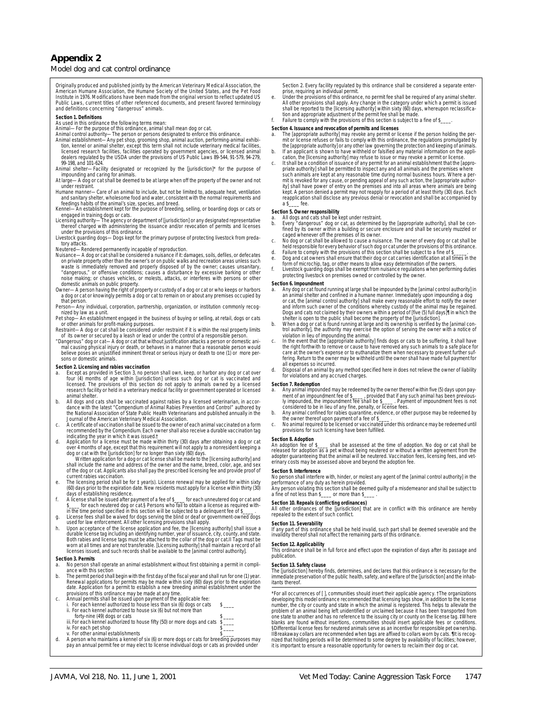#### **Appendix 2**

#### Model dog and cat control ordinance

Originally produced and published jointly by the American Veterinary Medical Association, the<br>American Humane Association, the Humane Society of the United States, and the Pet Food<br>Institute in 1976. Modifications have bee *and definitions concerning "dangerous" animals.*

#### **Section 1. Definitions**

As used in this ordinance the following terms mean:

- 
- 
- Animal—For the purpose of this ordinance, animal shall mean dog or cat.<br>Animal control authority—The person or persons designated to enforce this ordinance.<br>Animal establishment—Any pet shop, grooming shop, animal auction, 99-198, and 101-624.
- *Animal shelter—*Facility designated or recognized by the [jurisdiction]\* for the purpose of impounding and caring for animals. *At large—*A dog or cat shall be deemed to be at large when off the property of the owner and not
- under restraint.
- *Humane manner—*Care of an animal to include, but not be limited to, adequate heat, ventilation and sanitary shelter, wholesome food and water, consistent with the normal requirements and feedings habits of the animal's size, species, and breed.
- *Kennel—*An establishment kept for the purpose of breeding, selling, or boarding dogs or cats or
- engaged in training dogs or cats.<br>Licensing authority—The agency or department of [jurisdiction] or any designated representative<br>thereof charged with administering the issuance and/or revocation of permits and licenses under the provisions of this ordinance.
- *Livestock guarding dogs—*Dogs kept for the primary purpose of protecting livestock from predatory attacks.
- *Neutered—*Rendered permanently incapable of reproduction.
- *Nuisance*—A dog or cat shall be considered a nuisance if it: damages, solis, defiles, or defecates on private property other than the owner's or on public walks and recreation areas uness such waste is immediately removed
- domestic animals on public property.<br>Owner—A person having the right of property or custody of a dog or cat or who keeps or harbors<br>a dog or cat or knowingly permits a dog or cat to remain on or about any premises occupied that person.
- *Person—*Any individual, corporation, partnership, organization, or institution commonly recog-
- nized by law as a unit.<br>*Pet shop*—An establishment engaged in the business of buying or selling, at retail, dogs or cats<br>or other animals for profit-making purposes.<br>Restraint—A dog or cat shall be considered under restra
- of its owner or secured by a leash or lead or under the control of a responsible person.
- "Dangerous" dog or cat—A dog or cat that without justification attacks a person or domestic animal causing physical injury or death, or behaves in a manner that a reasonable person would<br>helieve poses an unjustified immine sons or domestic animals.

#### **Section 2. Licensing and rabies vaccination**

- a. Except as provided in Section 3, no person shall own, keep, or harbor any dog or cat over<br>four (4) months of age within [jurisdiction] unless such dog or cat is vaccinated and<br>licensed. The provisions of this section do research facility or held in a veterinary medical facility or government operated or licensed animal shelter.
- b. All dogs and cats shall be vaccinated against rabies by a licensed veterinarian, in accor-<br>dance with the latest "Compendium of Animal Rabies Prevention and Control" authored by<br>the National Association of State Public
- *Journal of the American Veterinary Medical Association*. c. A certificate of vaccination shall be issued to the owner of each animal vaccinated on a form recommended by the Compendium. Each owner shall also receive a durable vaccination tag<br>indicating the year in which it was issued.<br>d. Application for a license must be made within thirty (30) days after obtaining a dog or
- over 4 months of age, except that this requirement will not apply to a nonresident keeping a dog or cat with the [jurisdiction] for no longer than sixty (60) days.
- Written application for a dog or cat license shall be made to the [licensing authority] and<br>shall include the name and address of the owner and the name, breed, color, age, and sex<br>of the dog or cat. Applicants also shall
- current rabies vaccination. e. The licensing period shall be for ‡ year(s). License renewal may be applied for within sixty 60) days prior to the expiration date. New residents must apply for a license within thirty (30))<br>days of establishing residence.<br>f. A license shall be issued after payment of a fee of \$\_\_\_\_ for each unneutered dog or
- \$\_\_\_\_ for each neutered dog or cat.§ Persons who fail to obtain a license as required with-in the time period specified in this section will be subjected to a delinquent fee of \$\_\_\_\_ .
- 
- g. License fees shall be waived for dogs serving the blind or deaf or government-owned dogs<br>- used for law enforcement. All other licensing provisions shall apply.<br>h. Upon acceptance of the license application and fee, the
- durable license tag including an identifying number, year of issuance, city, county, and state. Both rabies and license tags must be attached to the collar of the dog or cat.II Tags must be worn at all times and are not transferable. [Licensing authority] shall maintain a record of all licenses issued, and such records shall be available to the [animal control authority].

- **Section 3. Permits** a. No person shall operate an animal establishment without first obtaining a permit in compliance with this section
- Interpretive succession the gin with the first day of the fiscal year and shall run for one (1) year. Renewal applications for permits may be made within sixty (60) days prior to the expiration<br>date. Application for a permit to establish a new breeding animal establishment under the<br>provisions of this ordinance may be made
- c. Annual permits shall be issued upon payment of the applicable fee: i. For each kennel authorized to house less than six (6) dogs or cats \$ \_\_\_\_
	- ii. For each kennel authorized to house six (6) but not more than
	- forty-nine (49) dogs or cats<br>iii. For each kennel authorized to house fifty (50) or more dogs and cats \$
	-
- 
- iv. For each pet shop<br>v. For other animal establishments<br>d. A person who maintains a kennel of six (6) or more dogs or cats for breeding purposes may<br>pay an annual permit fee or may elect to license individual dogs or cats

Section 2. Every facility regulated by this ordinance shall be considered a separate enter-prise, requiring an individual permit.

- e. Under the provisions of this ordinance, no permit fee shall be required of any animal shelter. All other provisions shall apply. Any change in the category under which a permit is issued<br>shall be reported to the [licensing authority] within sixty (60) days, whereupon reclassifica-<br>tion and appropriate adjustment of
- Failure to comply with the provisions of this section is subject to a fine of \$

- Section 4. Issuance and revocation of permits and licenses<br>
2. The [appropriate authority] may revoke any permit or license if the person holding the per-<br>
mit or license refuses or falls to comply with this ordinance, the
- cation, the [licensing authority] may refuse to issue or may revoke a permit or license. c. It shall be a condition of issuance of any permit for an animal establishment that the [appro
	- priate authority] shall be permitted to inspect any and all animals and the premises where<br>such animals are kept at any reasonable tlime during normal business hours. Where a per-<br>init is revoked for any cause, or pending

#### **Section 5. Owner responsibility**

- a. All dogs and cats shall be kept under restraint.<br>
b. Every "dangerous" dog or cat, as determined by the [appropriate authority], shall be con-<br>
fined by its owner within a building or secure enclosure and shall be secur
- 
- held responsible for every behavior of such dog or cat under the provisions of this ordinance.<br>d. Failure to comply with the provisions of this section shall be subject to a fine of \$\_\_\_\_\_.<br>e. Dog and cat owners
- form of microchip, tag, or other means to allow easy determination of the owners.<br>I. Livestock guarding dogs shall be exempt from nuisance regulations when performing duties.<br>protecting livestock on premises owned or contr

#### **Section 6. Impoundment**

- a. Any dog or cat found running at large shall be impounded by the [animal control authority] in<br>an animal shelter and confined in a humane manner. Immediately upon impounding a dog<br>or cat, the [animal control authority] s and inform such owner of the conditions whereby custody of the animal may be regained.
- Dogs and cats not claimed by their owners within a period of [five (5) full days]¶ in which the<br>shelter is open to the public shall become the property of the [jurisdiction].<br>b. When a dog or cat is found running at large violation in lieu of impounding the animal.
- c. In the event that the [appropriate authority] finds dogs or cats to be suffering, it shall have<br>the right forthwith to remove or cause to have removed any such animals to a safe place for<br>care at the owner's expense or all expenses so incurred.
- Disposal of an animal by any method specified here in does not relieve the owner of liability for violations and any accrued charges.

#### **Section 7. Redemption**

- a. Any animal impounded may be redeemed by the owner thereof within five (5) days upon pay-<br>ment of an impoundment fee of  $\sum_{n=1}^{\infty}$ , provided that if any such animal has been previous-<br>ly impounded, the impoundment fe
- b. Any animal confined for rabies quarantine, evidence, or other purpose may be redeemed by the owner thereof upon payment of a fee of \$\_\_\_\_ . c. No animal required to be licensed or vaccinated under this ordinance may be redeemed until
- provisions for such licensing have been fulfilled.

#### **Section 8. Adoption**

An adoption fee of \$\_\_\_ shall be assessed at the time of adoption. No dog or cat shall be<br>released for adoption as a pet without being neutered or without a written agreement from the<br>adopter quaranteeing that the animal w erinary costs may be assessed above and beyond the adoption fee.

#### **Section 9. Interference**

No person shall interfere with, hinder, or molest any agent of the [animal control authority] in the<br>performance of any duty as herein provided.<br>Any person violating this section shall be deemed guilty of a misdemeanor and

**Section 10. Repeals (conflicting ordinances)** All other ordinances of the [jurisdiction] that are in conflict with this ordinance are hereby repealed to the extent of such conflict.

#### **Section 11. Severability**

If any part of this ordinance shall be held invalid, such part shall be deemed severable and the invalidity thereof shall not affect the remaining parts of this ordinance.

**Section 12. Applicability** This ordinance shall be in full force and effect upon the expiration of days after its passage and publication.

#### **Section 13. Safety clause**

The [jurisdiction] hereby finds, determines, and declares that this ordinance is necessary for the immediate preservation of the public health, safety, and welfare of the [jurisdiction] and the inhabitants thereof

\*For all occurrences of [], communities should insert their applicable agency. The organizations developing this model ordinance recommended that licensing lags show, in addition to the license number, the city or county a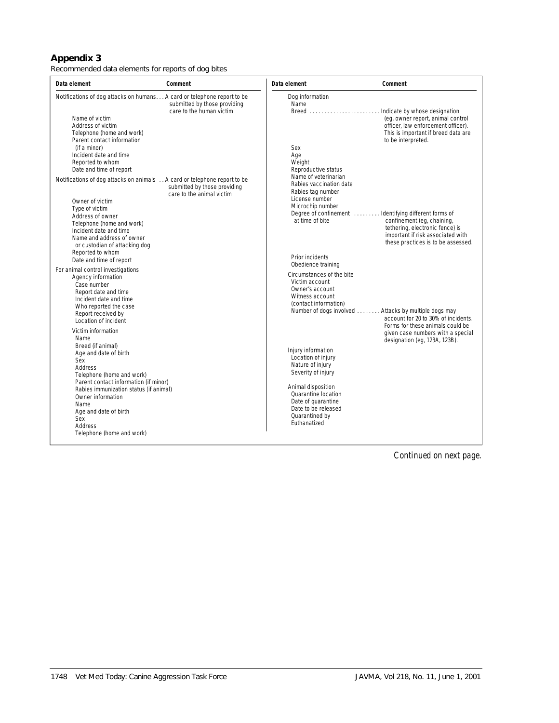## **Appendix 3**

Recommended data elements for reports of dog bites

| Notifications of dog attacks on humans A card or telephone report to be<br>Dog information<br>submitted by those providing<br>Name<br>care to the human victim<br>Indicate by whose designation<br>Name of victim<br>(eq. owner report, animal control<br>officer, law enforcement officer).<br>Address of victim<br>Telephone (home and work)<br>This is important if breed data are<br>Parent contact information<br>to be interpreted.<br>(if a minor)<br>Sex<br>Incident date and time<br>Age<br>Reported to whom<br>Weight<br>Date and time of report<br>Reproductive status<br>Name of veterinarian<br>Notifications of dog attacks on animals A card or telephone report to be<br>Rabies vaccination date<br>submitted by those providing<br>Rabies tag number<br>care to the animal victim<br>License number<br>Owner of victim<br>Microchip number<br>Type of victim<br>Degree of confinement  Identifying different forms of<br>Address of owner<br>at time of bite<br>confinement (eg, chaining,<br>Telephone (home and work)<br>tethering, electronic fence) is<br>Incident date and time<br>important if risk associated with<br>Name and address of owner<br>these practices is to be assessed.<br>or custodian of attacking dog<br>Reported to whom<br>Prior incidents<br>Date and time of report<br>Obedience training<br>For animal control investigations<br>Circumstances of the bite<br>Agency information<br>Victim account<br>Case number<br>Owner's account<br>Report date and time<br>Witness account<br>Incident date and time<br>(contact information)<br>Who reported the case<br>Number of dogs involved  Attacks by multiple dogs may<br>Report received by<br>account for 20 to 30% of incidents.<br>Location of incident<br>Forms for these animals could be<br>Victim information<br>given case numbers with a special<br>Name<br>designation (eg, 123A, 123B).<br>Breed (if animal)<br>Injury information<br>Age and date of birth<br>Location of injury<br>Sex<br>Nature of injury<br>Address<br>Severity of injury<br>Telephone (home and work)<br>Parent contact information (if minor)<br>Animal disposition<br>Rabies immunization status (if animal)<br>Quarantine location<br>Owner information |
|-----------------------------------------------------------------------------------------------------------------------------------------------------------------------------------------------------------------------------------------------------------------------------------------------------------------------------------------------------------------------------------------------------------------------------------------------------------------------------------------------------------------------------------------------------------------------------------------------------------------------------------------------------------------------------------------------------------------------------------------------------------------------------------------------------------------------------------------------------------------------------------------------------------------------------------------------------------------------------------------------------------------------------------------------------------------------------------------------------------------------------------------------------------------------------------------------------------------------------------------------------------------------------------------------------------------------------------------------------------------------------------------------------------------------------------------------------------------------------------------------------------------------------------------------------------------------------------------------------------------------------------------------------------------------------------------------------------------------------------------------------------------------------------------------------------------------------------------------------------------------------------------------------------------------------------------------------------------------------------------------------------------------------------------------------------------------------------------------------------------------------------------------------------------------------------------------------------------------------------------|
| Date of quarantine<br>Name<br>Date to be released<br>Age and date of birth<br>Quarantined by<br>Sex<br>Euthanatized<br>Address                                                                                                                                                                                                                                                                                                                                                                                                                                                                                                                                                                                                                                                                                                                                                                                                                                                                                                                                                                                                                                                                                                                                                                                                                                                                                                                                                                                                                                                                                                                                                                                                                                                                                                                                                                                                                                                                                                                                                                                                                                                                                                          |

*Continued on next page.*